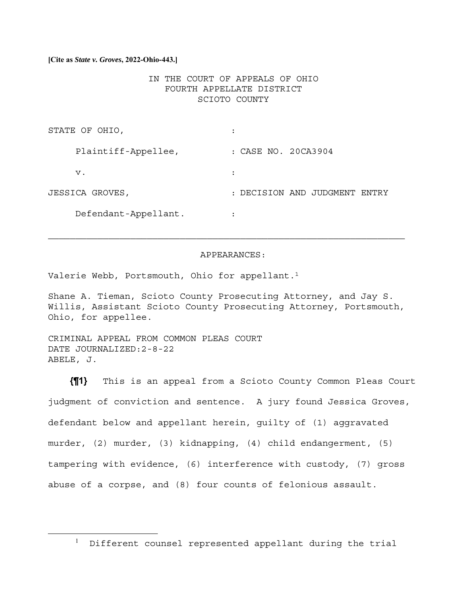# **[Cite as** *State v. Groves***, 2022-Ohio-443.]**

# IN THE COURT OF APPEALS OF OHIO FOURTH APPELLATE DISTRICT SCIOTO COUNTY

| STATE OF OHIO,       |                               |
|----------------------|-------------------------------|
| Plaintiff-Appellee,  | : CASE NO. 20CA3904           |
| v.                   |                               |
| JESSICA GROVES,      | : DECISION AND JUDGMENT ENTRY |
| Defendant-Appellant. | ٠                             |

#### APPEARANCES:

Valerie Webb, Portsmouth, Ohio for appellant.<sup>1</sup>

Shane A. Tieman, Scioto County Prosecuting Attorney, and Jay S. Willis, Assistant Scioto County Prosecuting Attorney, Portsmouth, Ohio, for appellee.

CRIMINAL APPEAL FROM COMMON PLEAS COURT DATE JOURNALIZED:2-8-22 ABELE, J.

**{¶1}** This is an appeal from a Scioto County Common Pleas Court judgment of conviction and sentence. A jury found Jessica Groves, defendant below and appellant herein, guilty of (1) aggravated murder, (2) murder, (3) kidnapping, (4) child endangerment, (5) tampering with evidence, (6) interference with custody, (7) gross abuse of a corpse, and (8) four counts of felonious assault.

1 Different counsel represented appellant during the trial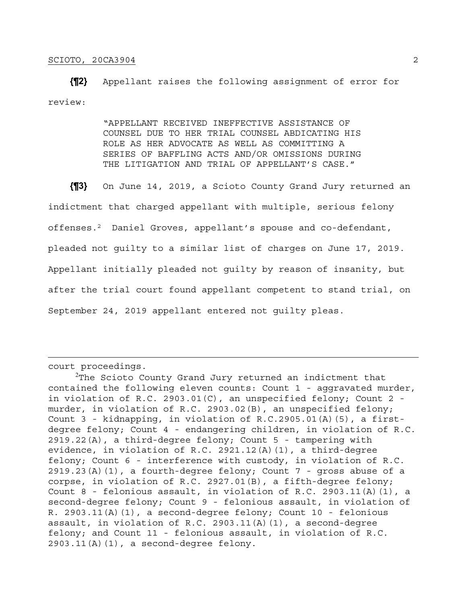**{¶2}** Appellant raises the following assignment of error for review:

> "APPELLANT RECEIVED INEFFECTIVE ASSISTANCE OF COUNSEL DUE TO HER TRIAL COUNSEL ABDICATING HIS ROLE AS HER ADVOCATE AS WELL AS COMMITTING A SERIES OF BAFFLING ACTS AND/OR OMISSIONS DURING THE LITIGATION AND TRIAL OF APPELLANT'S CASE."

**{¶3}** On June 14, 2019, a Scioto County Grand Jury returned an indictment that charged appellant with multiple, serious felony offenses.2 Daniel Groves, appellant's spouse and co-defendant, pleaded not guilty to a similar list of charges on June 17, 2019. Appellant initially pleaded not guilty by reason of insanity, but after the trial court found appellant competent to stand trial, on September 24, 2019 appellant entered not guilty pleas.

court proceedings. 2

 $2$ The Scioto County Grand Jury returned an indictment that contained the following eleven counts: Count 1 - aggravated murder, in violation of R.C. 2903.01(C), an unspecified felony; Count 2 murder, in violation of R.C. 2903.02(B), an unspecified felony; Count 3 - kidnapping, in violation of R.C.2905.01(A)(5), a firstdegree felony; Count 4 - endangering children, in violation of R.C. 2919.22(A), a third-degree felony; Count 5 - tampering with evidence, in violation of R.C. 2921.12(A)(1), a third-degree felony; Count 6 - interference with custody, in violation of R.C. 2919.23(A)(1), a fourth-degree felony; Count 7 - gross abuse of a corpse, in violation of R.C. 2927.01(B), a fifth-degree felony; Count 8 - felonious assault, in violation of R.C. 2903.11(A)(1), a second-degree felony; Count 9 - felonious assault, in violation of R. 2903.11(A)(1), a second-degree felony; Count 10 - felonious assault, in violation of R.C. 2903.11(A)(1), a second-degree felony; and Count 11 - felonious assault, in violation of R.C. 2903.11(A)(1), a second-degree felony.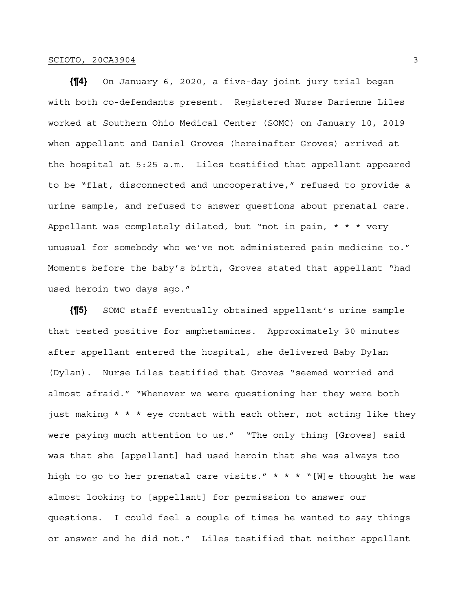**{¶4}** On January 6, 2020, a five-day joint jury trial began with both co-defendants present. Registered Nurse Darienne Liles worked at Southern Ohio Medical Center (SOMC) on January 10, 2019 when appellant and Daniel Groves (hereinafter Groves) arrived at the hospital at 5:25 a.m. Liles testified that appellant appeared to be "flat, disconnected and uncooperative," refused to provide a urine sample, and refused to answer questions about prenatal care. Appellant was completely dilated, but "not in pain, \* \* \* very unusual for somebody who we've not administered pain medicine to." Moments before the baby's birth, Groves stated that appellant "had used heroin two days ago."

**{¶5}** SOMC staff eventually obtained appellant's urine sample that tested positive for amphetamines. Approximately 30 minutes after appellant entered the hospital, she delivered Baby Dylan (Dylan). Nurse Liles testified that Groves "seemed worried and almost afraid." "Whenever we were questioning her they were both just making \* \* \* eye contact with each other, not acting like they were paying much attention to us." "The only thing [Groves] said was that she [appellant] had used heroin that she was always too high to go to her prenatal care visits." \* \* \* "[W]e thought he was almost looking to [appellant] for permission to answer our questions. I could feel a couple of times he wanted to say things or answer and he did not." Liles testified that neither appellant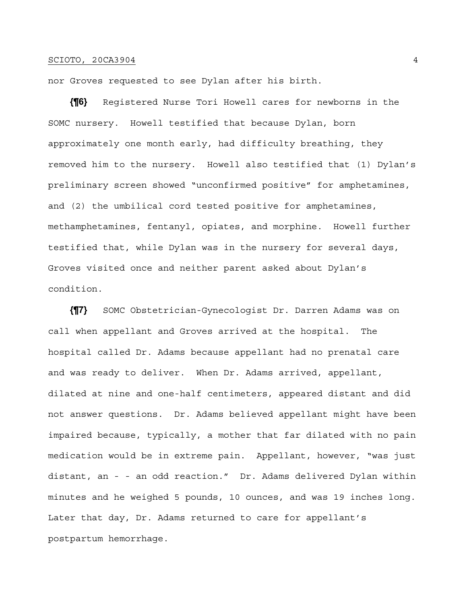nor Groves requested to see Dylan after his birth.

**{¶6}** Registered Nurse Tori Howell cares for newborns in the SOMC nursery. Howell testified that because Dylan, born approximately one month early, had difficulty breathing, they removed him to the nursery. Howell also testified that (1) Dylan's preliminary screen showed "unconfirmed positive" for amphetamines, and (2) the umbilical cord tested positive for amphetamines, methamphetamines, fentanyl, opiates, and morphine. Howell further testified that, while Dylan was in the nursery for several days, Groves visited once and neither parent asked about Dylan's condition.

**{¶7}** SOMC Obstetrician-Gynecologist Dr. Darren Adams was on call when appellant and Groves arrived at the hospital. The hospital called Dr. Adams because appellant had no prenatal care and was ready to deliver. When Dr. Adams arrived, appellant, dilated at nine and one-half centimeters, appeared distant and did not answer questions. Dr. Adams believed appellant might have been impaired because, typically, a mother that far dilated with no pain medication would be in extreme pain. Appellant, however, "was just distant, an - - an odd reaction." Dr. Adams delivered Dylan within minutes and he weighed 5 pounds, 10 ounces, and was 19 inches long. Later that day, Dr. Adams returned to care for appellant's postpartum hemorrhage.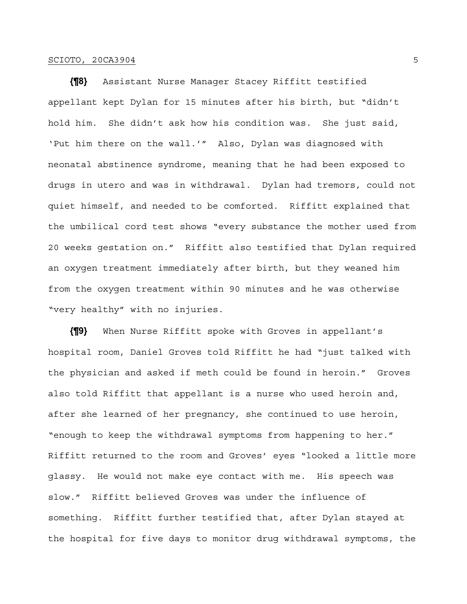**{¶8}** Assistant Nurse Manager Stacey Riffitt testified appellant kept Dylan for 15 minutes after his birth, but "didn't hold him. She didn't ask how his condition was. She just said, 'Put him there on the wall.'" Also, Dylan was diagnosed with neonatal abstinence syndrome, meaning that he had been exposed to drugs in utero and was in withdrawal. Dylan had tremors, could not quiet himself, and needed to be comforted. Riffitt explained that the umbilical cord test shows "every substance the mother used from 20 weeks gestation on." Riffitt also testified that Dylan required an oxygen treatment immediately after birth, but they weaned him from the oxygen treatment within 90 minutes and he was otherwise "very healthy" with no injuries.

**{¶9}** When Nurse Riffitt spoke with Groves in appellant's hospital room, Daniel Groves told Riffitt he had "just talked with the physician and asked if meth could be found in heroin." Groves also told Riffitt that appellant is a nurse who used heroin and, after she learned of her pregnancy, she continued to use heroin, "enough to keep the withdrawal symptoms from happening to her." Riffitt returned to the room and Groves' eyes "looked a little more glassy. He would not make eye contact with me. His speech was slow." Riffitt believed Groves was under the influence of something. Riffitt further testified that, after Dylan stayed at the hospital for five days to monitor drug withdrawal symptoms, the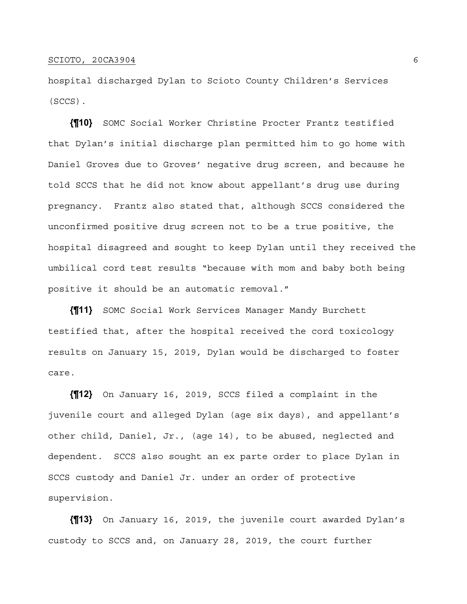hospital discharged Dylan to Scioto County Children's Services (SCCS).

**{¶10}** SOMC Social Worker Christine Procter Frantz testified that Dylan's initial discharge plan permitted him to go home with Daniel Groves due to Groves' negative drug screen, and because he told SCCS that he did not know about appellant's drug use during pregnancy. Frantz also stated that, although SCCS considered the unconfirmed positive drug screen not to be a true positive, the hospital disagreed and sought to keep Dylan until they received the umbilical cord test results "because with mom and baby both being positive it should be an automatic removal."

**{¶11}** SOMC Social Work Services Manager Mandy Burchett testified that, after the hospital received the cord toxicology results on January 15, 2019, Dylan would be discharged to foster care.

**{¶12}** On January 16, 2019, SCCS filed a complaint in the juvenile court and alleged Dylan (age six days), and appellant's other child, Daniel, Jr., (age 14), to be abused, neglected and dependent. SCCS also sought an ex parte order to place Dylan in SCCS custody and Daniel Jr. under an order of protective supervision.

**{¶13}** On January 16, 2019, the juvenile court awarded Dylan's custody to SCCS and, on January 28, 2019, the court further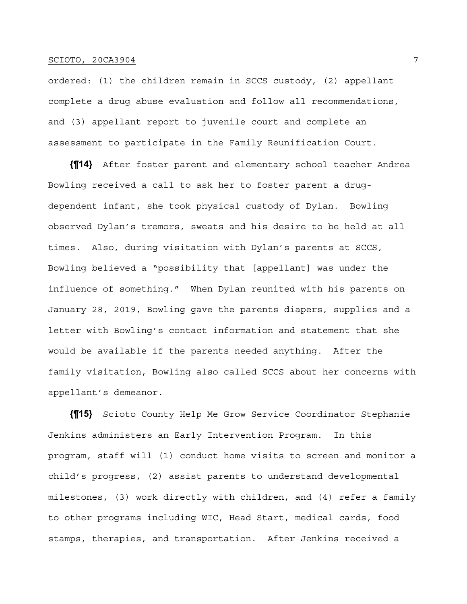ordered: (1) the children remain in SCCS custody, (2) appellant complete a drug abuse evaluation and follow all recommendations, and (3) appellant report to juvenile court and complete an assessment to participate in the Family Reunification Court.

**{¶14}** After foster parent and elementary school teacher Andrea Bowling received a call to ask her to foster parent a drugdependent infant, she took physical custody of Dylan. Bowling observed Dylan's tremors, sweats and his desire to be held at all times. Also, during visitation with Dylan's parents at SCCS, Bowling believed a "possibility that [appellant] was under the influence of something." When Dylan reunited with his parents on January 28, 2019, Bowling gave the parents diapers, supplies and a letter with Bowling's contact information and statement that she would be available if the parents needed anything. After the family visitation, Bowling also called SCCS about her concerns with appellant's demeanor.

**{¶15}** Scioto County Help Me Grow Service Coordinator Stephanie Jenkins administers an Early Intervention Program. In this program, staff will (1) conduct home visits to screen and monitor a child's progress, (2) assist parents to understand developmental milestones, (3) work directly with children, and (4) refer a family to other programs including WIC, Head Start, medical cards, food stamps, therapies, and transportation. After Jenkins received a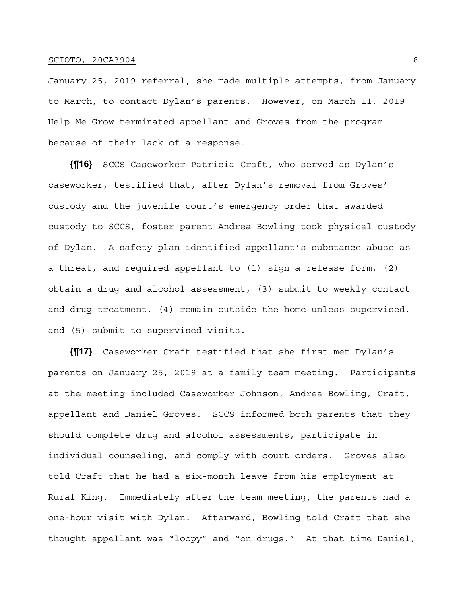January 25, 2019 referral, she made multiple attempts, from January to March, to contact Dylan's parents. However, on March 11, 2019 Help Me Grow terminated appellant and Groves from the program because of their lack of a response.

**{¶16}** SCCS Caseworker Patricia Craft, who served as Dylan's caseworker, testified that, after Dylan's removal from Groves' custody and the juvenile court's emergency order that awarded custody to SCCS, foster parent Andrea Bowling took physical custody of Dylan. A safety plan identified appellant's substance abuse as a threat, and required appellant to (1) sign a release form, (2) obtain a drug and alcohol assessment, (3) submit to weekly contact and drug treatment, (4) remain outside the home unless supervised, and (5) submit to supervised visits.

**{¶17}** Caseworker Craft testified that she first met Dylan's parents on January 25, 2019 at a family team meeting. Participants at the meeting included Caseworker Johnson, Andrea Bowling, Craft, appellant and Daniel Groves. SCCS informed both parents that they should complete drug and alcohol assessments, participate in individual counseling, and comply with court orders. Groves also told Craft that he had a six-month leave from his employment at Rural King. Immediately after the team meeting, the parents had a one-hour visit with Dylan. Afterward, Bowling told Craft that she thought appellant was "loopy" and "on drugs." At that time Daniel,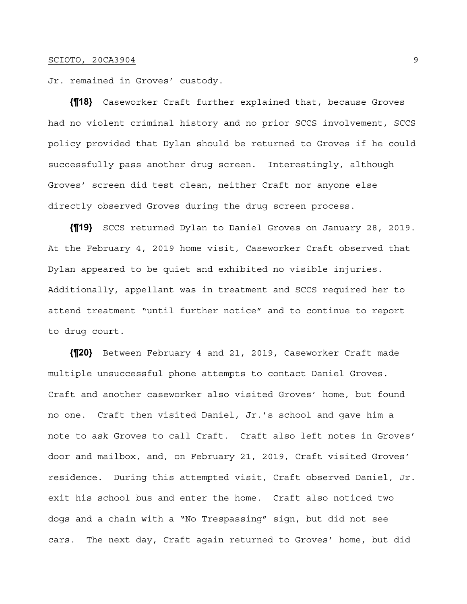Jr. remained in Groves' custody.

**{¶18}** Caseworker Craft further explained that, because Groves had no violent criminal history and no prior SCCS involvement, SCCS policy provided that Dylan should be returned to Groves if he could successfully pass another drug screen. Interestingly, although Groves' screen did test clean, neither Craft nor anyone else directly observed Groves during the drug screen process.

**{¶19}** SCCS returned Dylan to Daniel Groves on January 28, 2019. At the February 4, 2019 home visit, Caseworker Craft observed that Dylan appeared to be quiet and exhibited no visible injuries. Additionally, appellant was in treatment and SCCS required her to attend treatment "until further notice" and to continue to report to drug court.

**{¶20}** Between February 4 and 21, 2019, Caseworker Craft made multiple unsuccessful phone attempts to contact Daniel Groves. Craft and another caseworker also visited Groves' home, but found no one. Craft then visited Daniel, Jr.'s school and gave him a note to ask Groves to call Craft. Craft also left notes in Groves' door and mailbox, and, on February 21, 2019, Craft visited Groves' residence. During this attempted visit, Craft observed Daniel, Jr. exit his school bus and enter the home. Craft also noticed two dogs and a chain with a "No Trespassing" sign, but did not see cars. The next day, Craft again returned to Groves' home, but did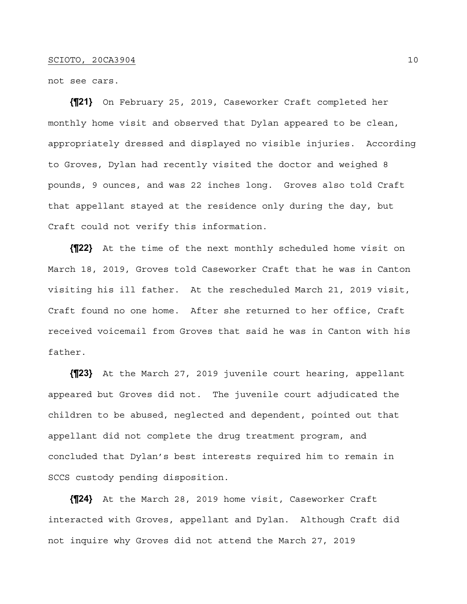not see cars.

**{¶21}** On February 25, 2019, Caseworker Craft completed her monthly home visit and observed that Dylan appeared to be clean, appropriately dressed and displayed no visible injuries. According to Groves, Dylan had recently visited the doctor and weighed 8 pounds, 9 ounces, and was 22 inches long. Groves also told Craft that appellant stayed at the residence only during the day, but Craft could not verify this information.

**{¶22}** At the time of the next monthly scheduled home visit on March 18, 2019, Groves told Caseworker Craft that he was in Canton visiting his ill father. At the rescheduled March 21, 2019 visit, Craft found no one home. After she returned to her office, Craft received voicemail from Groves that said he was in Canton with his father.

**{¶23}** At the March 27, 2019 juvenile court hearing, appellant appeared but Groves did not. The juvenile court adjudicated the children to be abused, neglected and dependent, pointed out that appellant did not complete the drug treatment program, and concluded that Dylan's best interests required him to remain in SCCS custody pending disposition.

**{¶24}** At the March 28, 2019 home visit, Caseworker Craft interacted with Groves, appellant and Dylan. Although Craft did not inquire why Groves did not attend the March 27, 2019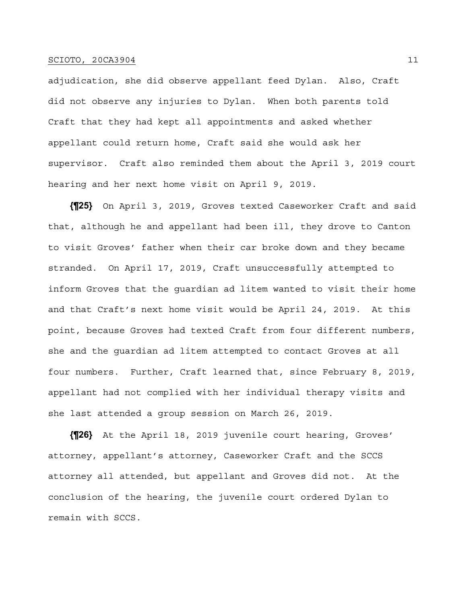adjudication, she did observe appellant feed Dylan. Also, Craft did not observe any injuries to Dylan. When both parents told Craft that they had kept all appointments and asked whether appellant could return home, Craft said she would ask her supervisor. Craft also reminded them about the April 3, 2019 court hearing and her next home visit on April 9, 2019.

**{¶25}** On April 3, 2019, Groves texted Caseworker Craft and said that, although he and appellant had been ill, they drove to Canton to visit Groves' father when their car broke down and they became stranded. On April 17, 2019, Craft unsuccessfully attempted to inform Groves that the guardian ad litem wanted to visit their home and that Craft's next home visit would be April 24, 2019. At this point, because Groves had texted Craft from four different numbers, she and the guardian ad litem attempted to contact Groves at all four numbers. Further, Craft learned that, since February 8, 2019, appellant had not complied with her individual therapy visits and she last attended a group session on March 26, 2019.

**{¶26}** At the April 18, 2019 juvenile court hearing, Groves' attorney, appellant's attorney, Caseworker Craft and the SCCS attorney all attended, but appellant and Groves did not. At the conclusion of the hearing, the juvenile court ordered Dylan to remain with SCCS.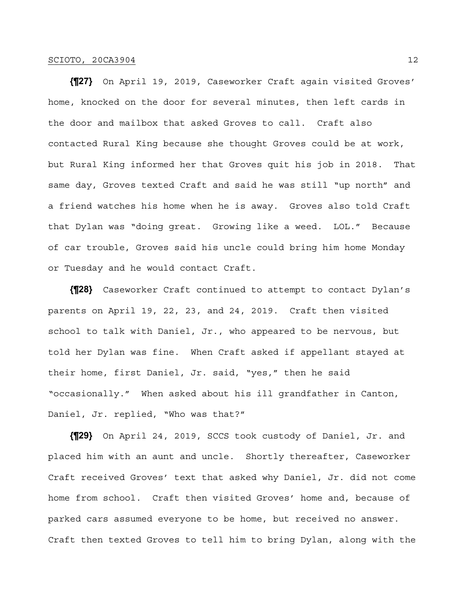**{¶27}** On April 19, 2019, Caseworker Craft again visited Groves' home, knocked on the door for several minutes, then left cards in the door and mailbox that asked Groves to call. Craft also contacted Rural King because she thought Groves could be at work, but Rural King informed her that Groves quit his job in 2018. That same day, Groves texted Craft and said he was still "up north" and a friend watches his home when he is away. Groves also told Craft that Dylan was "doing great. Growing like a weed. LOL." Because of car trouble, Groves said his uncle could bring him home Monday or Tuesday and he would contact Craft.

**{¶28}** Caseworker Craft continued to attempt to contact Dylan's parents on April 19, 22, 23, and 24, 2019. Craft then visited school to talk with Daniel, Jr., who appeared to be nervous, but told her Dylan was fine. When Craft asked if appellant stayed at their home, first Daniel, Jr. said, "yes," then he said "occasionally." When asked about his ill grandfather in Canton, Daniel, Jr. replied, "Who was that?"

**{¶29}** On April 24, 2019, SCCS took custody of Daniel, Jr. and placed him with an aunt and uncle. Shortly thereafter, Caseworker Craft received Groves' text that asked why Daniel, Jr. did not come home from school. Craft then visited Groves' home and, because of parked cars assumed everyone to be home, but received no answer. Craft then texted Groves to tell him to bring Dylan, along with the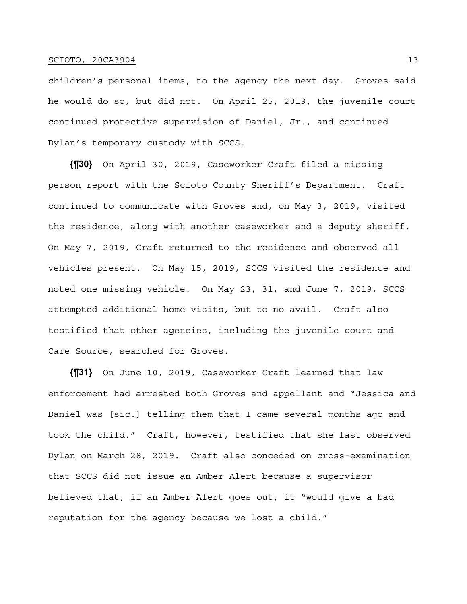children's personal items, to the agency the next day. Groves said he would do so, but did not. On April 25, 2019, the juvenile court continued protective supervision of Daniel, Jr., and continued Dylan's temporary custody with SCCS.

**{¶30}** On April 30, 2019, Caseworker Craft filed a missing person report with the Scioto County Sheriff's Department. Craft continued to communicate with Groves and, on May 3, 2019, visited the residence, along with another caseworker and a deputy sheriff. On May 7, 2019, Craft returned to the residence and observed all vehicles present. On May 15, 2019, SCCS visited the residence and noted one missing vehicle. On May 23, 31, and June 7, 2019, SCCS attempted additional home visits, but to no avail. Craft also testified that other agencies, including the juvenile court and Care Source, searched for Groves.

**{¶31}** On June 10, 2019, Caseworker Craft learned that law enforcement had arrested both Groves and appellant and "Jessica and Daniel was [sic.] telling them that I came several months ago and took the child." Craft, however, testified that she last observed Dylan on March 28, 2019. Craft also conceded on cross-examination that SCCS did not issue an Amber Alert because a supervisor believed that, if an Amber Alert goes out, it "would give a bad reputation for the agency because we lost a child."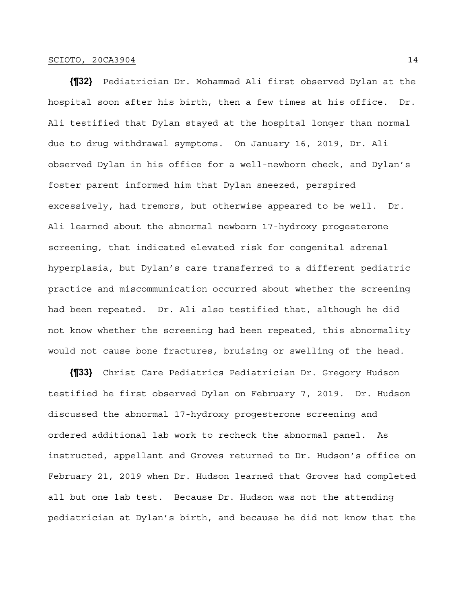**{¶32}** Pediatrician Dr. Mohammad Ali first observed Dylan at the hospital soon after his birth, then a few times at his office. Dr. Ali testified that Dylan stayed at the hospital longer than normal due to drug withdrawal symptoms. On January 16, 2019, Dr. Ali observed Dylan in his office for a well-newborn check, and Dylan's foster parent informed him that Dylan sneezed, perspired excessively, had tremors, but otherwise appeared to be well. Dr. Ali learned about the abnormal newborn 17-hydroxy progesterone screening, that indicated elevated risk for congenital adrenal hyperplasia, but Dylan's care transferred to a different pediatric practice and miscommunication occurred about whether the screening had been repeated. Dr. Ali also testified that, although he did not know whether the screening had been repeated, this abnormality would not cause bone fractures, bruising or swelling of the head.

**{¶33}** Christ Care Pediatrics Pediatrician Dr. Gregory Hudson testified he first observed Dylan on February 7, 2019. Dr. Hudson discussed the abnormal 17-hydroxy progesterone screening and ordered additional lab work to recheck the abnormal panel. As instructed, appellant and Groves returned to Dr. Hudson's office on February 21, 2019 when Dr. Hudson learned that Groves had completed all but one lab test. Because Dr. Hudson was not the attending pediatrician at Dylan's birth, and because he did not know that the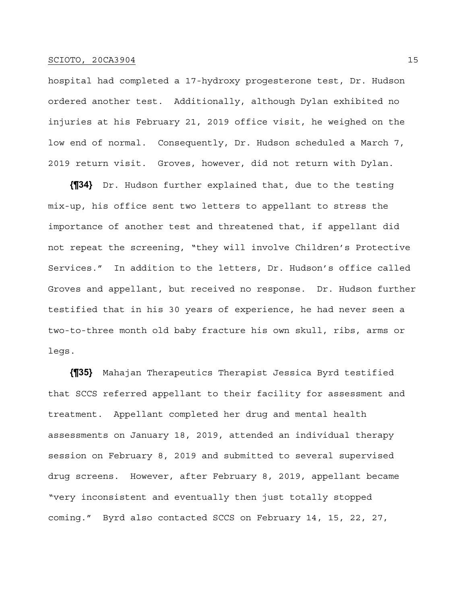hospital had completed a 17-hydroxy progesterone test, Dr. Hudson ordered another test. Additionally, although Dylan exhibited no injuries at his February 21, 2019 office visit, he weighed on the low end of normal. Consequently, Dr. Hudson scheduled a March 7, 2019 return visit. Groves, however, did not return with Dylan.

**{¶34}** Dr. Hudson further explained that, due to the testing mix-up, his office sent two letters to appellant to stress the importance of another test and threatened that, if appellant did not repeat the screening, "they will involve Children's Protective Services." In addition to the letters, Dr. Hudson's office called Groves and appellant, but received no response. Dr. Hudson further testified that in his 30 years of experience, he had never seen a two-to-three month old baby fracture his own skull, ribs, arms or legs.

**{¶35}** Mahajan Therapeutics Therapist Jessica Byrd testified that SCCS referred appellant to their facility for assessment and treatment. Appellant completed her drug and mental health assessments on January 18, 2019, attended an individual therapy session on February 8, 2019 and submitted to several supervised drug screens. However, after February 8, 2019, appellant became "very inconsistent and eventually then just totally stopped coming." Byrd also contacted SCCS on February 14, 15, 22, 27,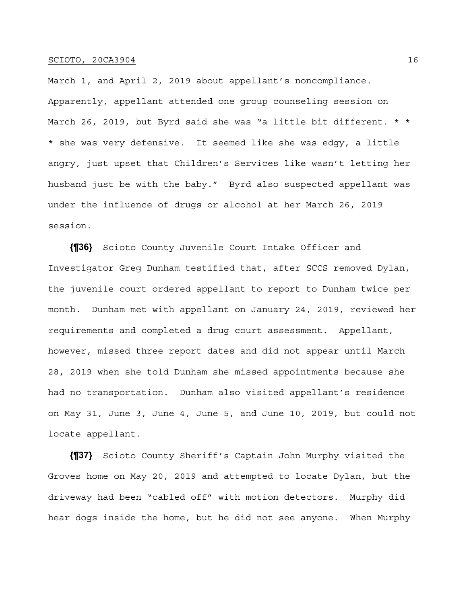March 1, and April 2, 2019 about appellant's noncompliance. Apparently, appellant attended one group counseling session on March 26, 2019, but Byrd said she was "a little bit different. \* \* \* she was very defensive. It seemed like she was edgy, a little angry, just upset that Children's Services like wasn't letting her husband just be with the baby." Byrd also suspected appellant was under the influence of drugs or alcohol at her March 26, 2019 session.

**{¶36}** Scioto County Juvenile Court Intake Officer and Investigator Greg Dunham testified that, after SCCS removed Dylan, the juvenile court ordered appellant to report to Dunham twice per month. Dunham met with appellant on January 24, 2019, reviewed her requirements and completed a drug court assessment. Appellant, however, missed three report dates and did not appear until March 28, 2019 when she told Dunham she missed appointments because she had no transportation. Dunham also visited appellant's residence on May 31, June 3, June 4, June 5, and June 10, 2019, but could not locate appellant.

**{¶37}** Scioto County Sheriff's Captain John Murphy visited the Groves home on May 20, 2019 and attempted to locate Dylan, but the driveway had been "cabled off" with motion detectors. Murphy did hear dogs inside the home, but he did not see anyone. When Murphy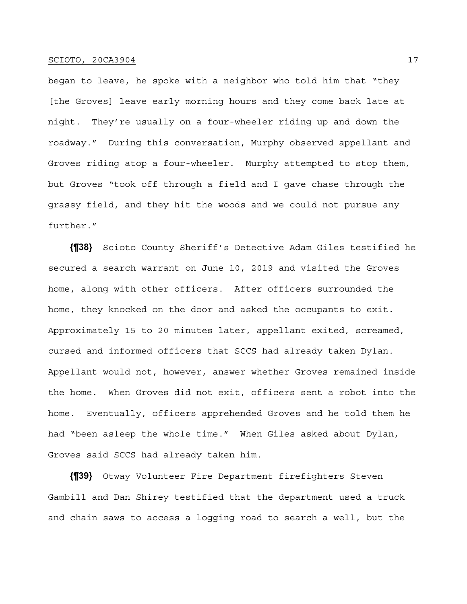began to leave, he spoke with a neighbor who told him that "they [the Groves] leave early morning hours and they come back late at night. They're usually on a four-wheeler riding up and down the roadway." During this conversation, Murphy observed appellant and Groves riding atop a four-wheeler. Murphy attempted to stop them, but Groves "took off through a field and I gave chase through the grassy field, and they hit the woods and we could not pursue any further."

**{¶38}** Scioto County Sheriff's Detective Adam Giles testified he secured a search warrant on June 10, 2019 and visited the Groves home, along with other officers. After officers surrounded the home, they knocked on the door and asked the occupants to exit. Approximately 15 to 20 minutes later, appellant exited, screamed, cursed and informed officers that SCCS had already taken Dylan. Appellant would not, however, answer whether Groves remained inside the home. When Groves did not exit, officers sent a robot into the home. Eventually, officers apprehended Groves and he told them he had "been asleep the whole time." When Giles asked about Dylan, Groves said SCCS had already taken him.

**{¶39}** Otway Volunteer Fire Department firefighters Steven Gambill and Dan Shirey testified that the department used a truck and chain saws to access a logging road to search a well, but the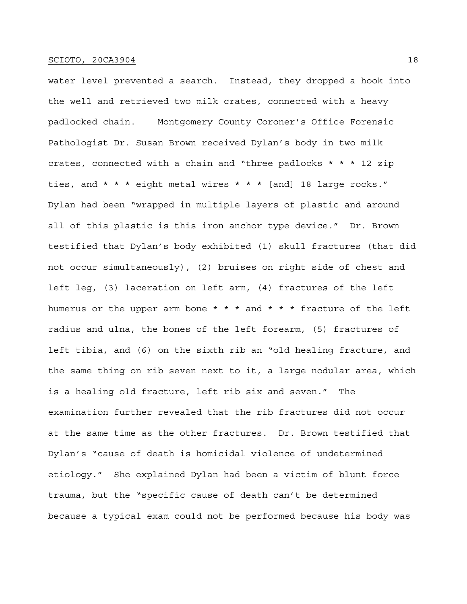water level prevented a search. Instead, they dropped a hook into the well and retrieved two milk crates, connected with a heavy padlocked chain. Montgomery County Coroner's Office Forensic Pathologist Dr. Susan Brown received Dylan's body in two milk crates, connected with a chain and "three padlocks \* \* \* 12 zip ties, and \* \* \* eight metal wires \* \* \* [and] 18 large rocks." Dylan had been "wrapped in multiple layers of plastic and around all of this plastic is this iron anchor type device." Dr. Brown testified that Dylan's body exhibited (1) skull fractures (that did not occur simultaneously), (2) bruises on right side of chest and left leg, (3) laceration on left arm, (4) fractures of the left humerus or the upper arm bone  $* * *$  and  $* * *$  fracture of the left radius and ulna, the bones of the left forearm, (5) fractures of left tibia, and (6) on the sixth rib an "old healing fracture, and the same thing on rib seven next to it, a large nodular area, which is a healing old fracture, left rib six and seven." The examination further revealed that the rib fractures did not occur at the same time as the other fractures. Dr. Brown testified that Dylan's "cause of death is homicidal violence of undetermined etiology." She explained Dylan had been a victim of blunt force trauma, but the "specific cause of death can't be determined because a typical exam could not be performed because his body was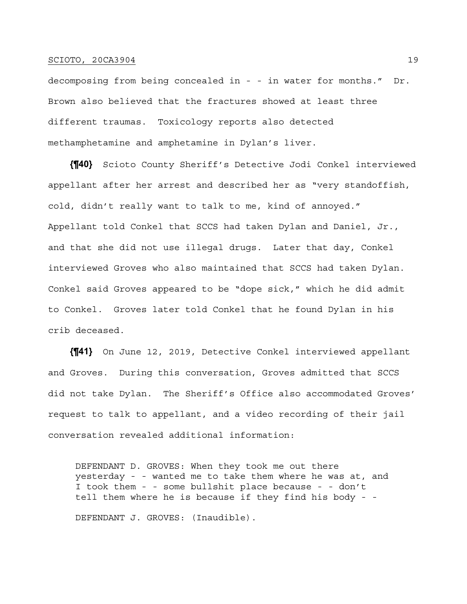decomposing from being concealed in - - in water for months." Dr. Brown also believed that the fractures showed at least three different traumas. Toxicology reports also detected methamphetamine and amphetamine in Dylan's liver.

**{¶40}** Scioto County Sheriff's Detective Jodi Conkel interviewed appellant after her arrest and described her as "very standoffish, cold, didn't really want to talk to me, kind of annoyed." Appellant told Conkel that SCCS had taken Dylan and Daniel, Jr., and that she did not use illegal drugs. Later that day, Conkel interviewed Groves who also maintained that SCCS had taken Dylan. Conkel said Groves appeared to be "dope sick," which he did admit to Conkel. Groves later told Conkel that he found Dylan in his crib deceased.

**{¶41}** On June 12, 2019, Detective Conkel interviewed appellant and Groves. During this conversation, Groves admitted that SCCS did not take Dylan. The Sheriff's Office also accommodated Groves' request to talk to appellant, and a video recording of their jail conversation revealed additional information:

DEFENDANT D. GROVES: When they took me out there yesterday - - wanted me to take them where he was at, and I took them - - some bullshit place because - - don't tell them where he is because if they find his body - - DEFENDANT J. GROVES: (Inaudible).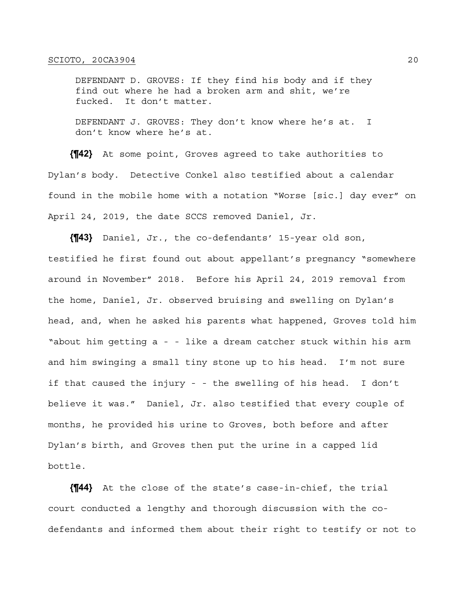DEFENDANT D. GROVES: If they find his body and if they find out where he had a broken arm and shit, we're fucked. It don't matter.

DEFENDANT J. GROVES: They don't know where he's at. I don't know where he's at.

**{¶42}** At some point, Groves agreed to take authorities to Dylan's body. Detective Conkel also testified about a calendar found in the mobile home with a notation "Worse [sic.] day ever" on April 24, 2019, the date SCCS removed Daniel, Jr.

**{¶43}** Daniel, Jr., the co-defendants' 15-year old son, testified he first found out about appellant's pregnancy "somewhere around in November" 2018. Before his April 24, 2019 removal from the home, Daniel, Jr. observed bruising and swelling on Dylan's head, and, when he asked his parents what happened, Groves told him "about him getting a - - like a dream catcher stuck within his arm and him swinging a small tiny stone up to his head. I'm not sure if that caused the injury - - the swelling of his head. I don't believe it was." Daniel, Jr. also testified that every couple of months, he provided his urine to Groves, both before and after Dylan's birth, and Groves then put the urine in a capped lid bottle.

**{¶44}** At the close of the state's case-in-chief, the trial court conducted a lengthy and thorough discussion with the codefendants and informed them about their right to testify or not to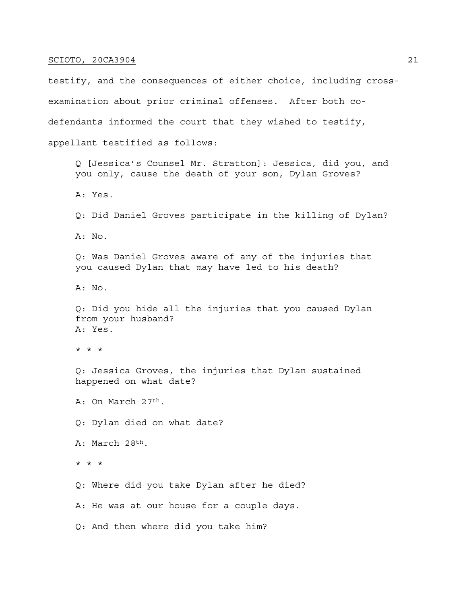testify, and the consequences of either choice, including crossexamination about prior criminal offenses. After both codefendants informed the court that they wished to testify, appellant testified as follows:

Q [Jessica's Counsel Mr. Stratton]: Jessica, did you, and you only, cause the death of your son, Dylan Groves? A: Yes. Q: Did Daniel Groves participate in the killing of Dylan? A: No. Q: Was Daniel Groves aware of any of the injuries that you caused Dylan that may have led to his death? A: No. Q: Did you hide all the injuries that you caused Dylan from your husband? A: Yes. \* \* \* Q: Jessica Groves, the injuries that Dylan sustained happened on what date? A: On March 27th. Q: Dylan died on what date? A: March 28th. \* \* \* Q: Where did you take Dylan after he died? A: He was at our house for a couple days. Q: And then where did you take him?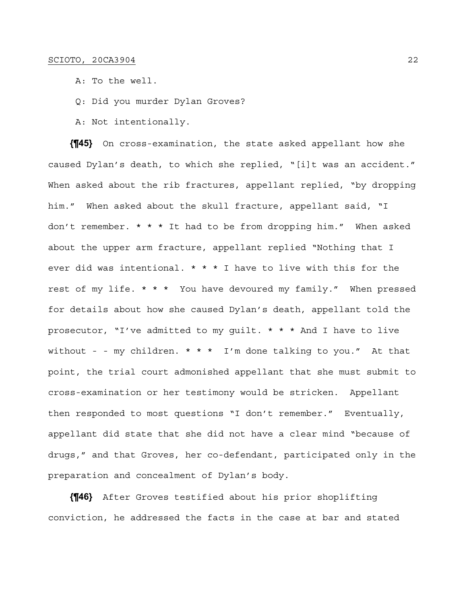A: To the well.

Q: Did you murder Dylan Groves?

A: Not intentionally.

**{¶45}** On cross-examination, the state asked appellant how she caused Dylan's death, to which she replied, "[i]t was an accident." When asked about the rib fractures, appellant replied, "by dropping him." When asked about the skull fracture, appellant said, "I don't remember. \* \* \* It had to be from dropping him." When asked about the upper arm fracture, appellant replied "Nothing that I ever did was intentional. \* \* \* I have to live with this for the rest of my life. \* \* \* You have devoured my family." When pressed for details about how she caused Dylan's death, appellant told the prosecutor, "I've admitted to my guilt. \* \* \* And I have to live without - - my children.  $* * * I'm$  done talking to you." At that point, the trial court admonished appellant that she must submit to cross-examination or her testimony would be stricken. Appellant then responded to most questions "I don't remember." Eventually, appellant did state that she did not have a clear mind "because of drugs," and that Groves, her co-defendant, participated only in the preparation and concealment of Dylan's body.

**{¶46}** After Groves testified about his prior shoplifting conviction, he addressed the facts in the case at bar and stated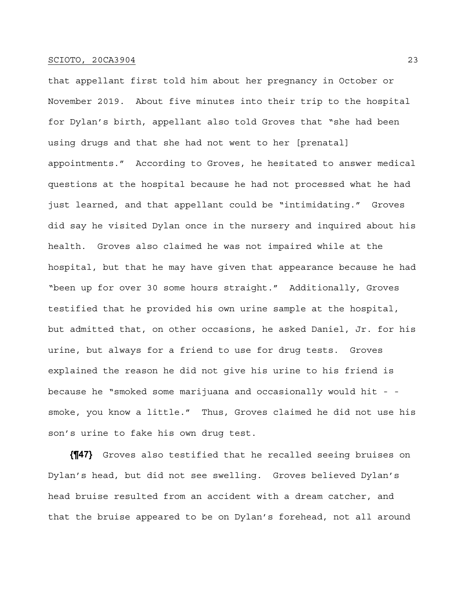that appellant first told him about her pregnancy in October or November 2019. About five minutes into their trip to the hospital for Dylan's birth, appellant also told Groves that "she had been using drugs and that she had not went to her [prenatal] appointments." According to Groves, he hesitated to answer medical questions at the hospital because he had not processed what he had just learned, and that appellant could be "intimidating." Groves did say he visited Dylan once in the nursery and inquired about his health. Groves also claimed he was not impaired while at the hospital, but that he may have given that appearance because he had "been up for over 30 some hours straight." Additionally, Groves testified that he provided his own urine sample at the hospital, but admitted that, on other occasions, he asked Daniel, Jr. for his urine, but always for a friend to use for drug tests. Groves explained the reason he did not give his urine to his friend is because he "smoked some marijuana and occasionally would hit - smoke, you know a little." Thus, Groves claimed he did not use his son's urine to fake his own drug test.

**{¶47}** Groves also testified that he recalled seeing bruises on Dylan's head, but did not see swelling. Groves believed Dylan's head bruise resulted from an accident with a dream catcher, and that the bruise appeared to be on Dylan's forehead, not all around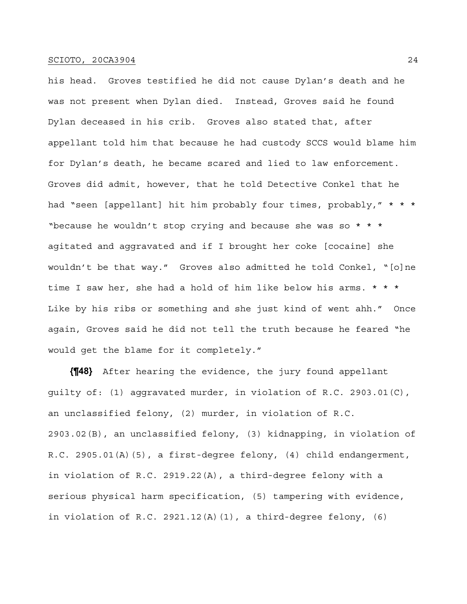his head. Groves testified he did not cause Dylan's death and he was not present when Dylan died. Instead, Groves said he found Dylan deceased in his crib. Groves also stated that, after appellant told him that because he had custody SCCS would blame him for Dylan's death, he became scared and lied to law enforcement. Groves did admit, however, that he told Detective Conkel that he had "seen [appellant] hit him probably four times, probably," \* \* \* "because he wouldn't stop crying and because she was so \* \* \* agitated and aggravated and if I brought her coke [cocaine] she wouldn't be that way." Groves also admitted he told Conkel, "[o]ne time I saw her, she had a hold of him like below his arms. \* \* \* Like by his ribs or something and she just kind of went ahh." Once again, Groves said he did not tell the truth because he feared "he would get the blame for it completely."

**{¶48}** After hearing the evidence, the jury found appellant guilty of: (1) aggravated murder, in violation of R.C. 2903.01(C), an unclassified felony, (2) murder, in violation of R.C. 2903.02(B), an unclassified felony, (3) kidnapping, in violation of R.C. 2905.01(A)(5), a first-degree felony, (4) child endangerment, in violation of R.C. 2919.22(A), a third-degree felony with a serious physical harm specification, (5) tampering with evidence, in violation of R.C. 2921.12(A)(1), a third-degree felony, (6)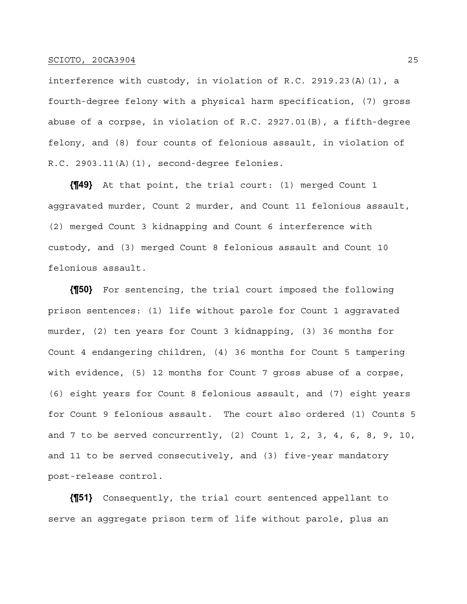interference with custody, in violation of R.C. 2919.23(A)(1), a fourth-degree felony with a physical harm specification, (7) gross abuse of a corpse, in violation of R.C. 2927.01(B), a fifth-degree felony, and (8) four counts of felonious assault, in violation of R.C. 2903.11(A)(1), second-degree felonies.

**{¶49}** At that point, the trial court: (1) merged Count 1 aggravated murder, Count 2 murder, and Count 11 felonious assault, (2) merged Count 3 kidnapping and Count 6 interference with custody, and (3) merged Count 8 felonious assault and Count 10 felonious assault.

**{¶50}** For sentencing, the trial court imposed the following prison sentences: (1) life without parole for Count 1 aggravated murder, (2) ten years for Count 3 kidnapping, (3) 36 months for Count 4 endangering children, (4) 36 months for Count 5 tampering with evidence, (5) 12 months for Count 7 gross abuse of a corpse, (6) eight years for Count 8 felonious assault, and (7) eight years for Count 9 felonious assault. The court also ordered (1) Counts 5 and 7 to be served concurrently,  $(2)$  Count 1, 2, 3, 4, 6, 8, 9, 10, and 11 to be served consecutively, and (3) five-year mandatory post-release control.

**{¶51}** Consequently, the trial court sentenced appellant to serve an aggregate prison term of life without parole, plus an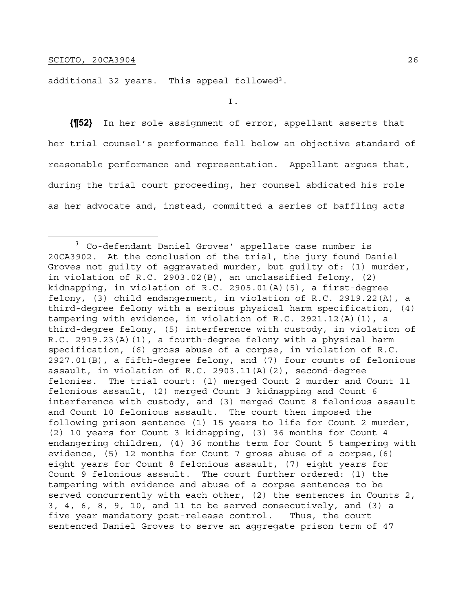additional 32 years. This appeal followed<sup>3</sup>.

I.

**{¶52}** In her sole assignment of error, appellant asserts that her trial counsel's performance fell below an objective standard of reasonable performance and representation. Appellant argues that, during the trial court proceeding, her counsel abdicated his role as her advocate and, instead, committed a series of baffling acts

<sup>3</sup> Co-defendant Daniel Groves' appellate case number is 20CA3902. At the conclusion of the trial, the jury found Daniel Groves not guilty of aggravated murder, but guilty of: (1) murder, in violation of R.C. 2903.02(B), an unclassified felony, (2) kidnapping, in violation of R.C. 2905.01(A)(5), a first-degree felony, (3) child endangerment, in violation of R.C. 2919.22(A), a third-degree felony with a serious physical harm specification, (4) tampering with evidence, in violation of R.C. 2921.12(A)(1), a third-degree felony, (5) interference with custody, in violation of R.C. 2919.23(A)(1), a fourth-degree felony with a physical harm specification, (6) gross abuse of a corpse, in violation of R.C. 2927.01(B), a fifth-degree felony, and (7) four counts of felonious assault, in violation of R.C. 2903.11(A)(2), second-degree felonies. The trial court: (1) merged Count 2 murder and Count 11 felonious assault, (2) merged Count 3 kidnapping and Count 6 interference with custody, and (3) merged Count 8 felonious assault and Count 10 felonious assault. The court then imposed the following prison sentence (1) 15 years to life for Count 2 murder, (2) 10 years for Count 3 kidnapping, (3) 36 months for Count 4 endangering children, (4) 36 months term for Count 5 tampering with evidence, (5) 12 months for Count 7 gross abuse of a corpse,(6) eight years for Count 8 felonious assault, (7) eight years for Count 9 felonious assault. The court further ordered: (1) the tampering with evidence and abuse of a corpse sentences to be served concurrently with each other, (2) the sentences in Counts 2, 3, 4, 6, 8, 9, 10, and 11 to be served consecutively, and (3) a five year mandatory post-release control. Thus, the court sentenced Daniel Groves to serve an aggregate prison term of 47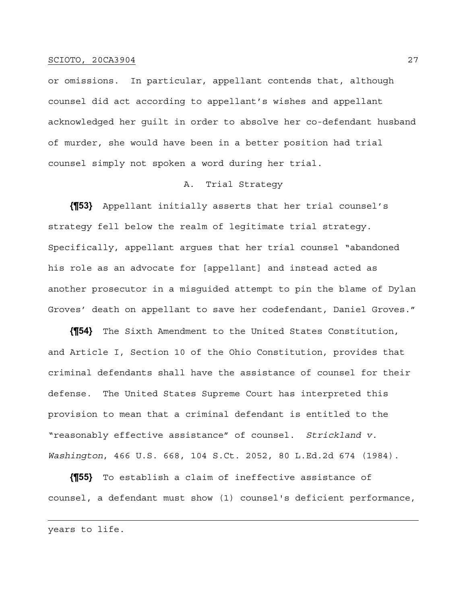or omissions. In particular, appellant contends that, although counsel did act according to appellant's wishes and appellant acknowledged her guilt in order to absolve her co-defendant husband of murder, she would have been in a better position had trial counsel simply not spoken a word during her trial.

# A. Trial Strategy

**{¶53}** Appellant initially asserts that her trial counsel's strategy fell below the realm of legitimate trial strategy. Specifically, appellant argues that her trial counsel "abandoned his role as an advocate for [appellant] and instead acted as another prosecutor in a misguided attempt to pin the blame of Dylan Groves' death on appellant to save her codefendant, Daniel Groves."

**{¶54}** The Sixth Amendment to the United States Constitution, and Article I, Section 10 of the Ohio Constitution, provides that criminal defendants shall have the assistance of counsel for their defense. The United States Supreme Court has interpreted this provision to mean that a criminal defendant is entitled to the "reasonably effective assistance" of counsel. *Strickland v. Washington*, 466 U.S. 668, 104 S.Ct. 2052, 80 L.Ed.2d 674 (1984).

**{¶55}** To establish a claim of ineffective assistance of counsel, a defendant must show (1) counsel's deficient performance,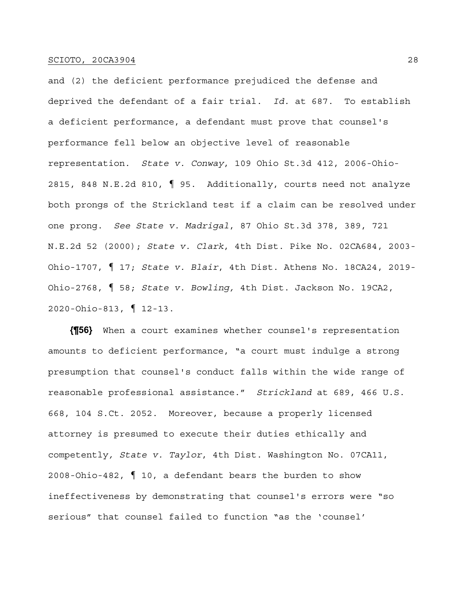and (2) the deficient performance prejudiced the defense and deprived the defendant of a fair trial. *Id.* at 687. To establish a deficient performance, a defendant must prove that counsel's performance fell below an objective level of reasonable representation. *State v. Conway*, 109 Ohio St.3d 412, 2006-Ohio-2815, 848 N.E.2d 810, ¶ 95. Additionally, courts need not analyze both prongs of the Strickland test if a claim can be resolved under one prong. *See State v. Madrigal*, 87 Ohio St.3d 378, 389, 721 N.E.2d 52 (2000); *State v. Clark*, 4th Dist. Pike No. 02CA684, 2003- Ohio-1707, ¶ 17; *State v. Blair*, 4th Dist. Athens No. 18CA24, 2019- Ohio-2768, ¶ 58; *State v. Bowling,* 4th Dist. Jackson No. 19CA2, 2020-Ohio-813, ¶ 12-13.

**{¶56}** When a court examines whether counsel's representation amounts to deficient performance, "a court must indulge a strong presumption that counsel's conduct falls within the wide range of reasonable professional assistance." *Strickland* at 689, 466 U.S. 668, 104 S.Ct. 2052. Moreover, because a properly licensed attorney is presumed to execute their duties ethically and competently*, State v. Taylor*, 4th Dist. Washington No. 07CA11, 2008-Ohio-482, ¶ 10, a defendant bears the burden to show ineffectiveness by demonstrating that counsel's errors were "so serious" that counsel failed to function "as the 'counsel'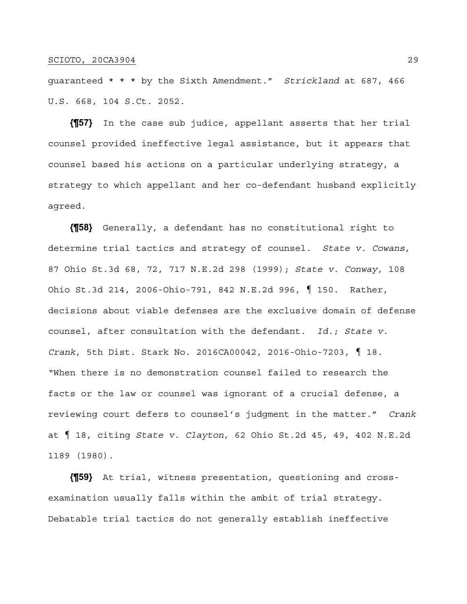guaranteed \* \* \* by the Sixth Amendment." *Strickland* at 687, 466 U.S. 668, 104 S.Ct. 2052.

**{¶57}** In the case sub judice, appellant asserts that her trial counsel provided ineffective legal assistance, but it appears that counsel based his actions on a particular underlying strategy, a strategy to which appellant and her co-defendant husband explicitly agreed.

**{¶58}** Generally, a defendant has no constitutional right to determine trial tactics and strategy of counsel. *State v. Cowans,* 87 Ohio St.3d 68, 72, 717 N.E.2d 298 (1999); *State v. Conway*, 108 Ohio St.3d 214, 2006-Ohio-791, 842 N.E.2d 996, ¶ 150. Rather, decisions about viable defenses are the exclusive domain of defense counsel, after consultation with the defendant. *Id.*; *State v. Crank*, 5th Dist. Stark No. 2016CA00042, 2016-Ohio-7203, ¶ 18. "When there is no demonstration counsel failed to research the facts or the law or counsel was ignorant of a crucial defense, a reviewing court defers to counsel's judgment in the matter." *Crank* at ¶ 18, citing *State v. Clayton*, 62 Ohio St.2d 45, 49, 402 N.E.2d 1189 (1980).

**{¶59}** At trial, witness presentation, questioning and crossexamination usually falls within the ambit of trial strategy. Debatable trial tactics do not generally establish ineffective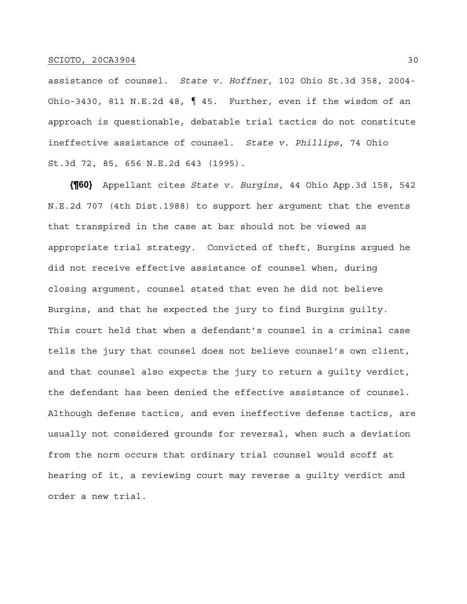assistance of counsel. *State v. Hoffner*, 102 Ohio St.3d 358, 2004- Ohio-3430, 811 N.E.2d 48, ¶ 45. Further, even if the wisdom of an approach is questionable, debatable trial tactics do not constitute ineffective assistance of counsel. *State v. Phillips*, 74 Ohio St.3d 72, 85, 656 N.E.2d 643 (1995).

**{¶60}** Appellant cites *State v. Burgins*, 44 Ohio App.3d 158, 542 N.E.2d 707 (4th Dist.1988) to support her argument that the events that transpired in the case at bar should not be viewed as appropriate trial strategy. Convicted of theft, Burgins argued he did not receive effective assistance of counsel when, during closing argument, counsel stated that even he did not believe Burgins, and that he expected the jury to find Burgins guilty. This court held that when a defendant's counsel in a criminal case tells the jury that counsel does not believe counsel's own client, and that counsel also expects the jury to return a guilty verdict, the defendant has been denied the effective assistance of counsel. Although defense tactics, and even ineffective defense tactics, are usually not considered grounds for reversal, when such a deviation from the norm occurs that ordinary trial counsel would scoff at hearing of it, a reviewing court may reverse a guilty verdict and order a new trial.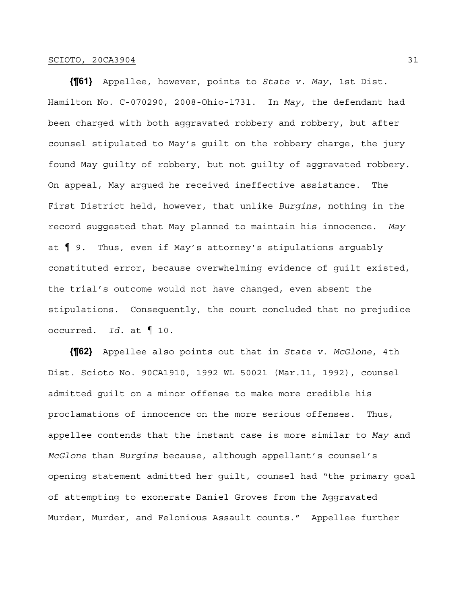**{¶61}** Appellee, however, points to *State v. May*, 1st Dist. Hamilton No. C-070290, 2008-Ohio-1731. In *May*, the defendant had been charged with both aggravated robbery and robbery, but after counsel stipulated to May's guilt on the robbery charge, the jury found May guilty of robbery, but not guilty of aggravated robbery. On appeal, May argued he received ineffective assistance. The First District held, however, that unlike *Burgins*, nothing in the record suggested that May planned to maintain his innocence. *May* at ¶ 9. Thus, even if May's attorney's stipulations arguably constituted error, because overwhelming evidence of guilt existed, the trial's outcome would not have changed, even absent the stipulations. Consequently, the court concluded that no prejudice occurred. *Id.* at ¶ 10.

**{¶62}** Appellee also points out that in *State v. McGlone*, 4th Dist. Scioto No. 90CA1910, 1992 WL 50021 (Mar.11, 1992), counsel admitted guilt on a minor offense to make more credible his proclamations of innocence on the more serious offenses. Thus, appellee contends that the instant case is more similar to *May* and *McGlone* than *Burgins* because, although appellant's counsel's opening statement admitted her guilt, counsel had "the primary goal of attempting to exonerate Daniel Groves from the Aggravated Murder, Murder, and Felonious Assault counts." Appellee further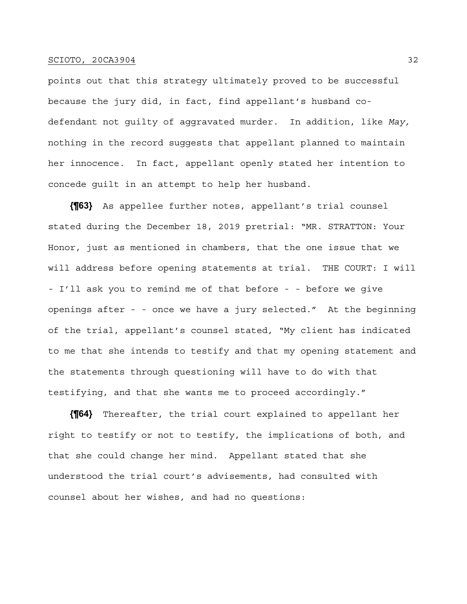points out that this strategy ultimately proved to be successful because the jury did, in fact, find appellant's husband codefendant not guilty of aggravated murder. In addition, like *May,*  nothing in the record suggests that appellant planned to maintain her innocence. In fact, appellant openly stated her intention to concede guilt in an attempt to help her husband.

**{¶63}** As appellee further notes, appellant's trial counsel stated during the December 18, 2019 pretrial: "MR. STRATTON: Your Honor, just as mentioned in chambers, that the one issue that we will address before opening statements at trial. THE COURT: I will - I'll ask you to remind me of that before - - before we give openings after - - once we have a jury selected." At the beginning of the trial, appellant's counsel stated, "My client has indicated to me that she intends to testify and that my opening statement and the statements through questioning will have to do with that testifying, and that she wants me to proceed accordingly."

**{¶64}** Thereafter, the trial court explained to appellant her right to testify or not to testify, the implications of both, and that she could change her mind. Appellant stated that she understood the trial court's advisements, had consulted with counsel about her wishes, and had no questions: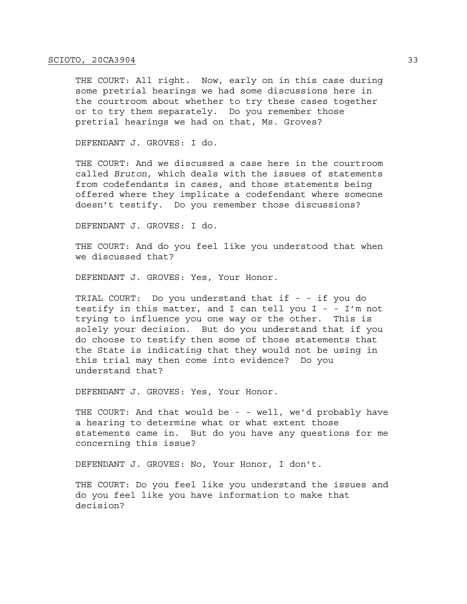THE COURT: All right. Now, early on in this case during some pretrial hearings we had some discussions here in the courtroom about whether to try these cases together or to try them separately. Do you remember those pretrial hearings we had on that, Ms. Groves?

DEFENDANT J. GROVES: I do.

THE COURT: And we discussed a case here in the courtroom called *Bruton*, which deals with the issues of statements from codefendants in cases, and those statements being offered where they implicate a codefendant where someone doesn't testify. Do you remember those discussions?

DEFENDANT J. GROVES: I do.

THE COURT: And do you feel like you understood that when we discussed that?

DEFENDANT J. GROVES: Yes, Your Honor.

TRIAL COURT: Do you understand that if - - if you do testify in this matter, and I can tell you I - - I'm not trying to influence you one way or the other. This is solely your decision. But do you understand that if you do choose to testify then some of those statements that the State is indicating that they would not be using in this trial may then come into evidence? Do you understand that?

DEFENDANT J. GROVES: Yes, Your Honor.

THE COURT: And that would be - - well, we'd probably have a hearing to determine what or what extent those statements came in. But do you have any questions for me concerning this issue?

DEFENDANT J. GROVES: No, Your Honor, I don't.

THE COURT: Do you feel like you understand the issues and do you feel like you have information to make that decision?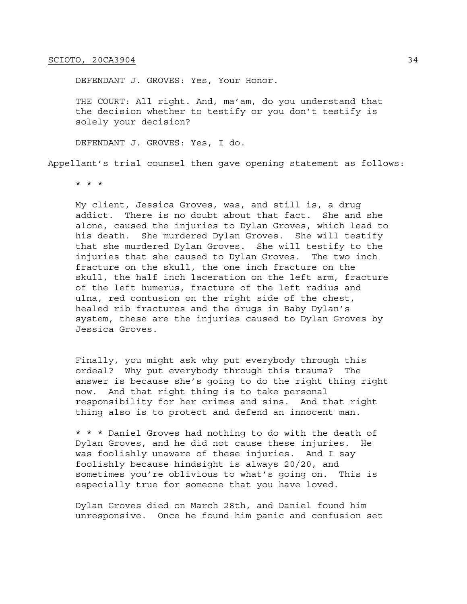DEFENDANT J. GROVES: Yes, Your Honor.

THE COURT: All right. And, ma'am, do you understand that the decision whether to testify or you don't testify is solely your decision?

DEFENDANT J. GROVES: Yes, I do.

Appellant's trial counsel then gave opening statement as follows:

\* \* \*

My client, Jessica Groves, was, and still is, a drug addict. There is no doubt about that fact. She and she alone, caused the injuries to Dylan Groves, which lead to his death. She murdered Dylan Groves. She will testify that she murdered Dylan Groves. She will testify to the injuries that she caused to Dylan Groves. The two inch fracture on the skull, the one inch fracture on the skull, the half inch laceration on the left arm, fracture of the left humerus, fracture of the left radius and ulna, red contusion on the right side of the chest, healed rib fractures and the drugs in Baby Dylan's system, these are the injuries caused to Dylan Groves by Jessica Groves.

Finally, you might ask why put everybody through this ordeal? Why put everybody through this trauma? The answer is because she's going to do the right thing right now. And that right thing is to take personal responsibility for her crimes and sins. And that right thing also is to protect and defend an innocent man.

\* \* \* Daniel Groves had nothing to do with the death of Dylan Groves, and he did not cause these injuries. He was foolishly unaware of these injuries. And I say foolishly because hindsight is always 20/20, and sometimes you're oblivious to what's going on. This is especially true for someone that you have loved.

Dylan Groves died on March 28th, and Daniel found him unresponsive. Once he found him panic and confusion set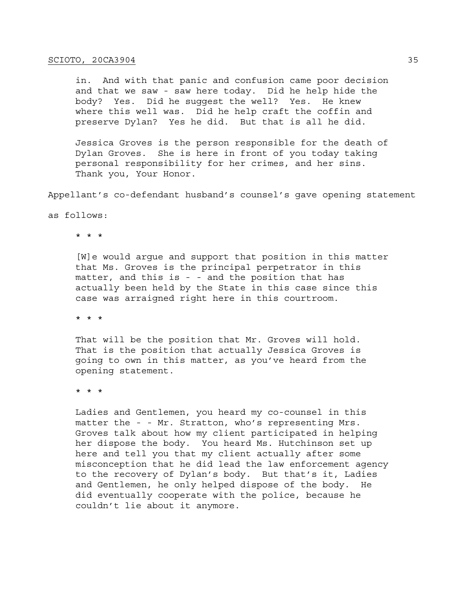in. And with that panic and confusion came poor decision and that we saw - saw here today. Did he help hide the body? Yes. Did he suggest the well? Yes. He knew where this well was. Did he help craft the coffin and preserve Dylan? Yes he did. But that is all he did.

Jessica Groves is the person responsible for the death of Dylan Groves. She is here in front of you today taking personal responsibility for her crimes, and her sins. Thank you, Your Honor.

Appellant's co-defendant husband's counsel's gave opening statement

as follows:

\* \* \*

[W]e would argue and support that position in this matter that Ms. Groves is the principal perpetrator in this matter, and this is - - and the position that has actually been held by the State in this case since this case was arraigned right here in this courtroom.

\* \* \*

That will be the position that Mr. Groves will hold. That is the position that actually Jessica Groves is going to own in this matter, as you've heard from the opening statement.

\* \* \*

Ladies and Gentlemen, you heard my co-counsel in this matter the - - Mr. Stratton, who's representing Mrs. Groves talk about how my client participated in helping her dispose the body. You heard Ms. Hutchinson set up here and tell you that my client actually after some misconception that he did lead the law enforcement agency to the recovery of Dylan's body. But that's it, Ladies and Gentlemen, he only helped dispose of the body. He did eventually cooperate with the police, because he couldn't lie about it anymore.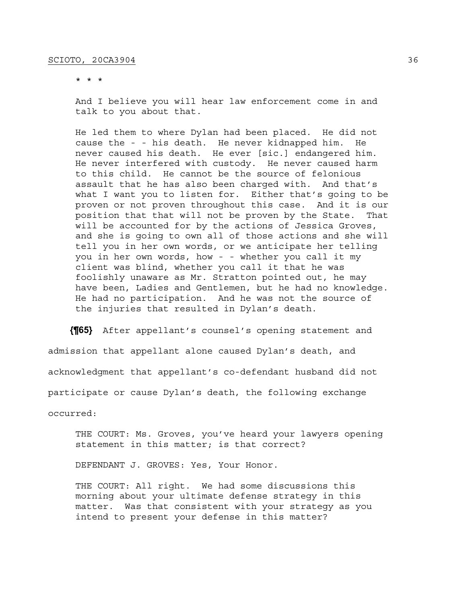\* \* \*

And I believe you will hear law enforcement come in and talk to you about that.

He led them to where Dylan had been placed. He did not cause the - - his death. He never kidnapped him. He never caused his death. He ever [sic.] endangered him. He never interfered with custody. He never caused harm to this child. He cannot be the source of felonious assault that he has also been charged with. And that's what I want you to listen for. Either that's going to be proven or not proven throughout this case. And it is our position that that will not be proven by the State. That will be accounted for by the actions of Jessica Groves, and she is going to own all of those actions and she will tell you in her own words, or we anticipate her telling you in her own words, how - - whether you call it my client was blind, whether you call it that he was foolishly unaware as Mr. Stratton pointed out, he may have been, Ladies and Gentlemen, but he had no knowledge. He had no participation. And he was not the source of the injuries that resulted in Dylan's death.

**{¶65}** After appellant's counsel's opening statement and admission that appellant alone caused Dylan's death, and acknowledgment that appellant's co-defendant husband did not participate or cause Dylan's death, the following exchange

occurred:

THE COURT: Ms. Groves, you've heard your lawyers opening statement in this matter; is that correct?

DEFENDANT J. GROVES: Yes, Your Honor.

THE COURT: All right. We had some discussions this morning about your ultimate defense strategy in this matter. Was that consistent with your strategy as you intend to present your defense in this matter?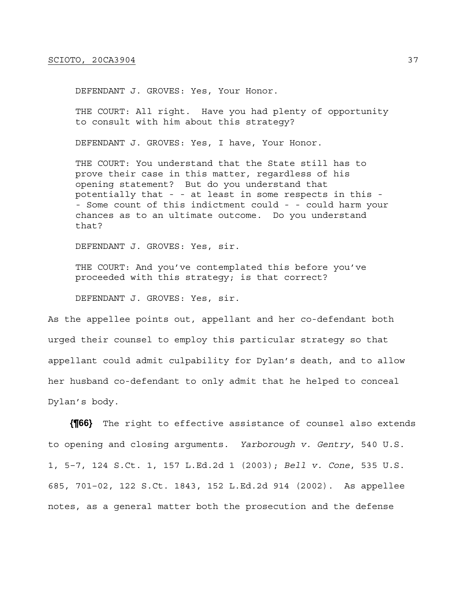DEFENDANT J. GROVES: Yes, Your Honor.

THE COURT: All right. Have you had plenty of opportunity to consult with him about this strategy?

DEFENDANT J. GROVES: Yes, I have, Your Honor.

THE COURT: You understand that the State still has to prove their case in this matter, regardless of his opening statement? But do you understand that potentially that - - at least in some respects in this - - Some count of this indictment could - - could harm your chances as to an ultimate outcome. Do you understand that?

DEFENDANT J. GROVES: Yes, sir.

THE COURT: And you've contemplated this before you've proceeded with this strategy; is that correct?

DEFENDANT J. GROVES: Yes, sir.

As the appellee points out, appellant and her co-defendant both urged their counsel to employ this particular strategy so that appellant could admit culpability for Dylan's death, and to allow her husband co-defendant to only admit that he helped to conceal Dylan's body.

**{¶66}** The right to effective assistance of counsel also extends to opening and closing arguments. *Yarborough v. Gentry*, 540 U.S. 1, 5–7, 124 S.Ct. 1, 157 L.Ed.2d 1 (2003); *Bell v. Cone*, 535 U.S. 685, 701–02, 122 S.Ct. 1843, 152 L.Ed.2d 914 (2002). As appellee notes, as a general matter both the prosecution and the defense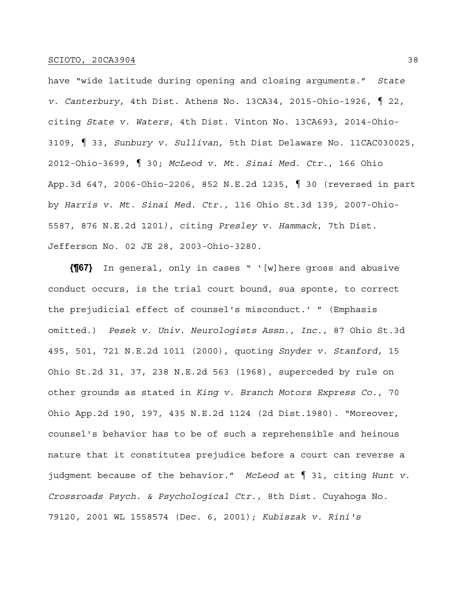have "wide latitude during opening and closing arguments." *State v. Canterbury*, 4th Dist. Athens No. 13CA34, 2015-Ohio-1926, ¶ 22, citing *State v. Waters,* 4th Dist. Vinton No. 13CA693, 2014-Ohio-3109, ¶ 33, *Sunbury v. Sullivan,* 5th Dist Delaware No. 11CAC030025, 2012-Ohio-3699, ¶ 30; *McLeod v. Mt. Sinai Med. Ctr.*, 166 Ohio App.3d 647, 2006-Ohio-2206, 852 N.E.2d 1235, ¶ 30 (reversed in part by *Harris v. Mt. Sinai Med. Ctr.,* 116 Ohio St.3d 139*,* 2007-Ohio-5587, 876 N.E.2d 1201*),* citing *Presley v. Hammack*, 7th Dist. Jefferson No. 02 JE 28, 2003-Ohio-3280.

**{¶67}** In general, only in cases " '[w]here gross and abusive conduct occurs, is the trial court bound, sua sponte, to correct the prejudicial effect of counsel's misconduct.' " (Emphasis omitted.) *Pesek v. Univ. Neurologists Assn., Inc.*, 87 Ohio St.3d 495, 501, 721 N.E.2d 1011 (2000), quoting *Snyder v. Stanford*, 15 Ohio St.2d 31, 37, 238 N.E.2d 563 (1968), superceded by rule on other grounds as stated in *King v. Branch Motors Express Co.*, 70 Ohio App.2d 190, 197, 435 N.E.2d 1124 (2d Dist.1980). "Moreover, counsel's behavior has to be of such a reprehensible and heinous nature that it constitutes prejudice before a court can reverse a judgment because of the behavior." *McLeod* at ¶ 31, citing *Hunt v. Crossroads Psych. & Psychological Ctr.,* 8th Dist. Cuyahoga No. 79120, 2001 WL 1558574 (Dec. 6, 2001); *Kubiszak v. Rini's*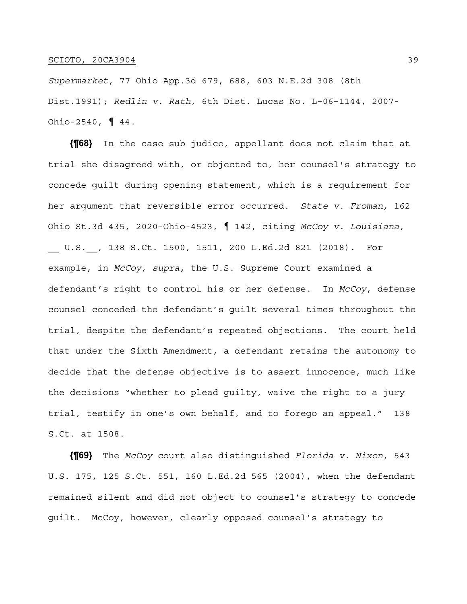*Supermarket*, 77 Ohio App.3d 679, 688, 603 N.E.2d 308 (8th Dist.1991); *Redlin v. Rath*, 6th Dist. Lucas No. L–06–1144, 2007- Ohio-2540, ¶ 44.

**{¶68}** In the case sub judice, appellant does not claim that at trial she disagreed with, or objected to, her counsel's strategy to concede guilt during opening statement, which is a requirement for her argument that reversible error occurred. *State v. Froman,* 162 Ohio St.3d 435, 2020-Ohio-4523, ¶ 142, citing *McCoy v. Louisiana*, U.S.,, 138 S.Ct. 1500, 1511, 200 L.Ed.2d 821 (2018). For example, in *McCoy, supra,* the U.S. Supreme Court examined a defendant's right to control his or her defense. In *McCoy*, defense counsel conceded the defendant's guilt several times throughout the trial, despite the defendant's repeated objections. The court held that under the Sixth Amendment, a defendant retains the autonomy to decide that the defense objective is to assert innocence, much like the decisions "whether to plead guilty, waive the right to a jury trial, testify in one's own behalf, and to forego an appeal." 138 S.Ct. at 1508.

**{¶69}** The *McCoy* court also distinguished *Florida v. Nixon*, 543 U.S. 175, 125 S.Ct. 551, 160 L.Ed.2d 565 (2004), when the defendant remained silent and did not object to counsel's strategy to concede guilt. McCoy, however, clearly opposed counsel's strategy to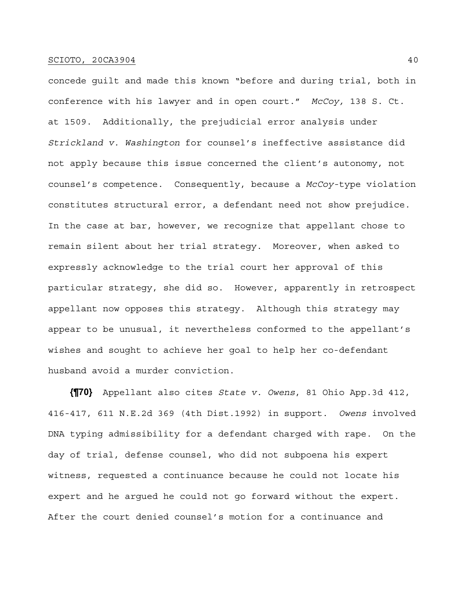concede guilt and made this known "before and during trial, both in conference with his lawyer and in open court." *McCoy,* 138 S. Ct. at 1509. Additionally, the prejudicial error analysis under *Strickland v. Washington* for counsel's ineffective assistance did not apply because this issue concerned the client's autonomy, not counsel's competence. Consequently, because a *McCoy-*type violation constitutes structural error, a defendant need not show prejudice. In the case at bar, however, we recognize that appellant chose to remain silent about her trial strategy. Moreover, when asked to expressly acknowledge to the trial court her approval of this particular strategy, she did so. However, apparently in retrospect appellant now opposes this strategy. Although this strategy may appear to be unusual, it nevertheless conformed to the appellant's wishes and sought to achieve her goal to help her co-defendant husband avoid a murder conviction.

**{¶70}** Appellant also cites *State v. Owens*, 81 Ohio App.3d 412, 416-417, 611 N.E.2d 369 (4th Dist.1992) in support. *Owens* involved DNA typing admissibility for a defendant charged with rape. On the day of trial, defense counsel, who did not subpoena his expert witness, requested a continuance because he could not locate his expert and he argued he could not go forward without the expert. After the court denied counsel's motion for a continuance and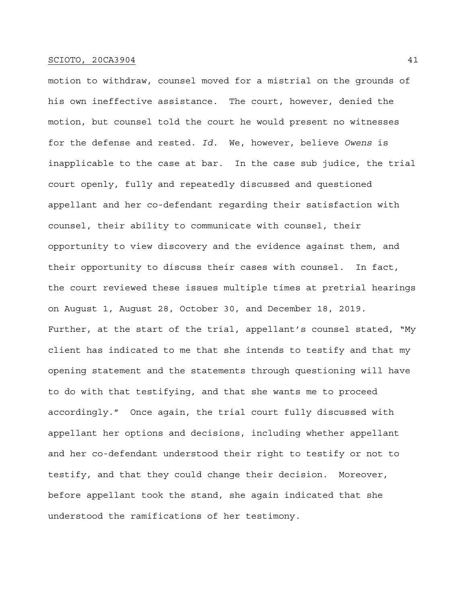motion to withdraw, counsel moved for a mistrial on the grounds of his own ineffective assistance. The court, however, denied the motion, but counsel told the court he would present no witnesses for the defense and rested. *Id.* We, however, believe *Owens* is inapplicable to the case at bar. In the case sub judice, the trial court openly, fully and repeatedly discussed and questioned appellant and her co-defendant regarding their satisfaction with counsel, their ability to communicate with counsel, their opportunity to view discovery and the evidence against them, and their opportunity to discuss their cases with counsel. In fact, the court reviewed these issues multiple times at pretrial hearings on August 1, August 28, October 30, and December 18, 2019. Further, at the start of the trial, appellant's counsel stated, "My client has indicated to me that she intends to testify and that my opening statement and the statements through questioning will have to do with that testifying, and that she wants me to proceed accordingly." Once again, the trial court fully discussed with appellant her options and decisions, including whether appellant and her co-defendant understood their right to testify or not to testify, and that they could change their decision. Moreover, before appellant took the stand, she again indicated that she understood the ramifications of her testimony.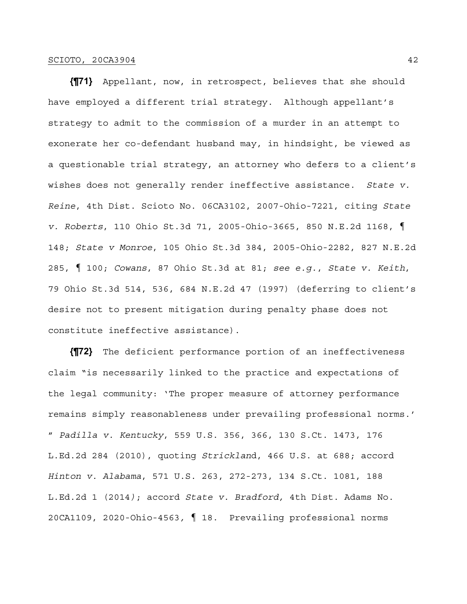**{¶71}** Appellant, now, in retrospect, believes that she should have employed a different trial strategy. Although appellant's strategy to admit to the commission of a murder in an attempt to exonerate her co-defendant husband may, in hindsight, be viewed as a questionable trial strategy, an attorney who defers to a client's wishes does not generally render ineffective assistance. *State v. Reine*, 4th Dist. Scioto No. 06CA3102, 2007-Ohio-7221, citing *State v. Roberts*, 110 Ohio St.3d 71, 2005-Ohio-3665, 850 N.E.2d 1168, ¶ 148; *State v Monroe*, 105 Ohio St.3d 384, 2005-Ohio-2282, 827 N.E.2d 285, ¶ 100; *Cowans*, 87 Ohio St.3d at 81; *see e.g.*, *State v. Keith*, 79 Ohio St.3d 514, 536, 684 N.E.2d 47 (1997) (deferring to client's desire not to present mitigation during penalty phase does not constitute ineffective assistance).

**{¶72}** The deficient performance portion of an ineffectiveness claim "is necessarily linked to the practice and expectations of the legal community: 'The proper measure of attorney performance remains simply reasonableness under prevailing professional norms.' " *Padilla v. Kentucky*, 559 U.S. 356, 366, 130 S.Ct. 1473, 176 L.Ed.2d 284 (2010), quoting *Stricklan*d, 466 U.S. at 688; accord *Hinton v. Alabama*, 571 U.S. 263, 272-273, 134 S.Ct. 1081, 188 L.Ed.2d 1 (2014*)*; accord *State v. Bradford,* 4th Dist. Adams No. 20CA1109, 2020-Ohio-4563*,* ¶ 18.Prevailing professional norms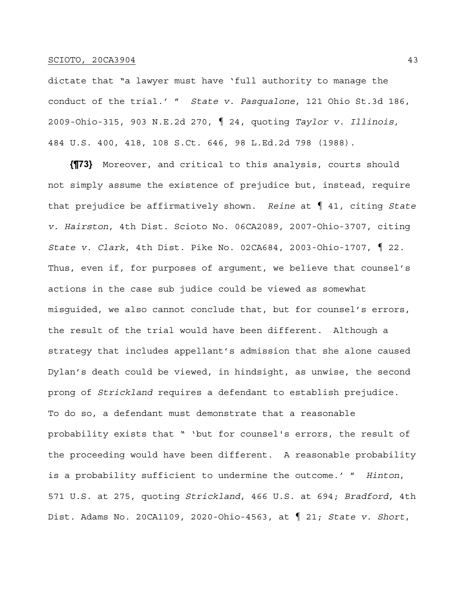dictate that "a lawyer must have 'full authority to manage the conduct of the trial.' " *State v. Pasqualone*, 121 Ohio St.3d 186, 2009-Ohio-315, 903 N.E.2d 270, ¶ 24, quoting *Taylor v. Illinois*, 484 U.S. 400, 418, 108 S.Ct. 646, 98 L.Ed.2d 798 (1988).

**{¶73}** Moreover, and critical to this analysis, courts should not simply assume the existence of prejudice but, instead, require that prejudice be affirmatively shown. *Reine* at ¶ 41, citing *State v. Hairston*, 4th Dist. Scioto No. 06CA2089, 2007-Ohio-3707, citing *State v. Clark*, 4th Dist. Pike No. 02CA684, 2003-Ohio-1707, ¶ 22. Thus, even if, for purposes of argument, we believe that counsel's actions in the case sub judice could be viewed as somewhat misguided, we also cannot conclude that, but for counsel's errors, the result of the trial would have been different. Although a strategy that includes appellant's admission that she alone caused Dylan's death could be viewed, in hindsight, as unwise, the second prong of *Strickland* requires a defendant to establish prejudice. To do so, a defendant must demonstrate that a reasonable probability exists that " 'but for counsel's errors, the result of the proceeding would have been different. A reasonable probability is a probability sufficient to undermine the outcome.' " *Hinton*, 571 U.S. at 275, quoting *Strickland*, 466 U.S. at 694; *Bradford,* 4th Dist. Adams No. 20CA1109, 2020-Ohio-4563, at ¶ 21; *State v. Short*,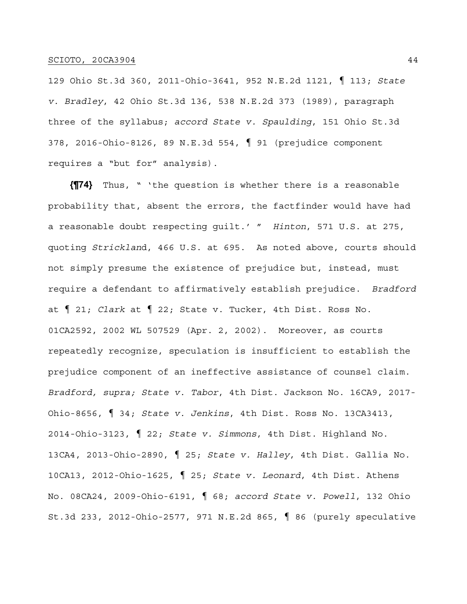129 Ohio St.3d 360, 2011-Ohio-3641, 952 N.E.2d 1121, ¶ 113; *State v. Bradley*, 42 Ohio St.3d 136, 538 N.E.2d 373 (1989), paragraph three of the syllabus; *accord State v. Spaulding*, 151 Ohio St.3d 378, 2016-Ohio-8126, 89 N.E.3d 554, ¶ 91 (prejudice component requires a "but for" analysis).

**{¶74}** Thus, " 'the question is whether there is a reasonable probability that, absent the errors, the factfinder would have had a reasonable doubt respecting guilt.' " *Hinton*, 571 U.S. at 275, quoting *Stricklan*d, 466 U.S. at 695. As noted above, courts should not simply presume the existence of prejudice but, instead, must require a defendant to affirmatively establish prejudice. *Bradford*  at ¶ 21; *Clark* at ¶ 22; State v. Tucker, 4th Dist. Ross No. 01CA2592, 2002 WL 507529 (Apr. 2, 2002). Moreover, as courts repeatedly recognize, speculation is insufficient to establish the prejudice component of an ineffective assistance of counsel claim. *Bradford, supra; State v. Tabor*, 4th Dist. Jackson No. 16CA9, 2017- Ohio-8656, ¶ 34; *State v. Jenkins*, 4th Dist. Ross No. 13CA3413, 2014-Ohio-3123, ¶ 22; *State v. Simmons*, 4th Dist. Highland No. 13CA4, 2013-Ohio-2890, ¶ 25; *State v. Halley*, 4th Dist. Gallia No. 10CA13, 2012-Ohio-1625, ¶ 25; *State v. Leonard*, 4th Dist. Athens No. 08CA24, 2009-Ohio-6191, ¶ 68; *accord State v. Powell*, 132 Ohio St.3d 233, 2012-Ohio-2577, 971 N.E.2d 865, ¶ 86 (purely speculative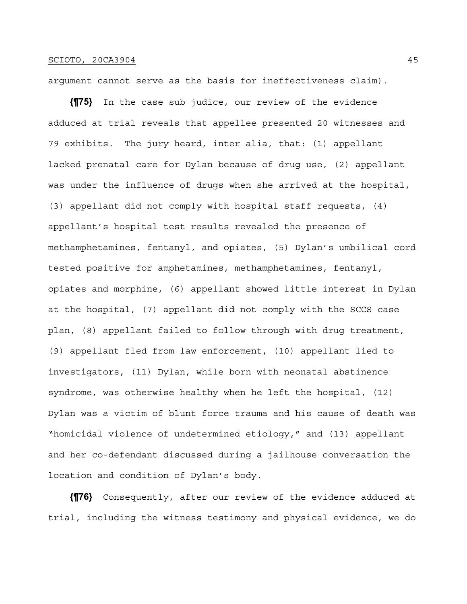argument cannot serve as the basis for ineffectiveness claim).

**{¶75}** In the case sub judice, our review of the evidence adduced at trial reveals that appellee presented 20 witnesses and 79 exhibits. The jury heard, inter alia, that: (1) appellant lacked prenatal care for Dylan because of drug use, (2) appellant was under the influence of drugs when she arrived at the hospital, (3) appellant did not comply with hospital staff requests, (4) appellant's hospital test results revealed the presence of methamphetamines, fentanyl, and opiates, (5) Dylan's umbilical cord tested positive for amphetamines, methamphetamines, fentanyl, opiates and morphine, (6) appellant showed little interest in Dylan at the hospital, (7) appellant did not comply with the SCCS case plan, (8) appellant failed to follow through with drug treatment, (9) appellant fled from law enforcement, (10) appellant lied to investigators, (11) Dylan, while born with neonatal abstinence syndrome, was otherwise healthy when he left the hospital, (12) Dylan was a victim of blunt force trauma and his cause of death was "homicidal violence of undetermined etiology," and (13) appellant and her co-defendant discussed during a jailhouse conversation the location and condition of Dylan's body.

**{¶76}** Consequently, after our review of the evidence adduced at trial, including the witness testimony and physical evidence, we do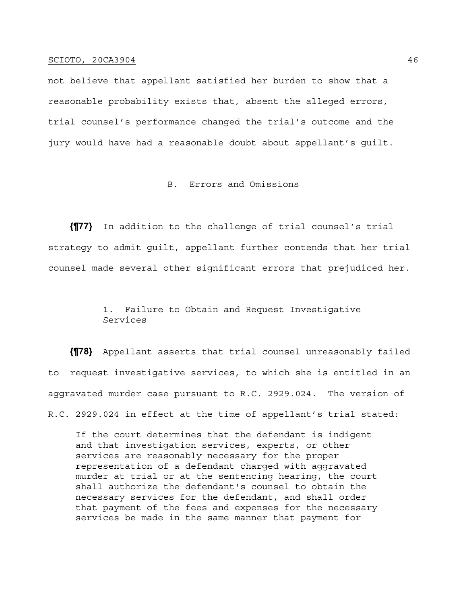not believe that appellant satisfied her burden to show that a reasonable probability exists that, absent the alleged errors, trial counsel's performance changed the trial's outcome and the jury would have had a reasonable doubt about appellant's guilt.

B. Errors and Omissions

**{¶77}** In addition to the challenge of trial counsel's trial strategy to admit guilt, appellant further contends that her trial counsel made several other significant errors that prejudiced her.

> 1. Failure to Obtain and Request Investigative Services

**{¶78}** Appellant asserts that trial counsel unreasonably failed to request investigative services, to which she is entitled in an aggravated murder case pursuant to R.C. 2929.024. The version of R.C. 2929.024 in effect at the time of appellant's trial stated:

If the court determines that the defendant is indigent and that investigation services, experts, or other services are reasonably necessary for the proper representation of a defendant charged with aggravated murder at trial or at the sentencing hearing, the court shall authorize the defendant's counsel to obtain the necessary services for the defendant, and shall order that payment of the fees and expenses for the necessary services be made in the same manner that payment for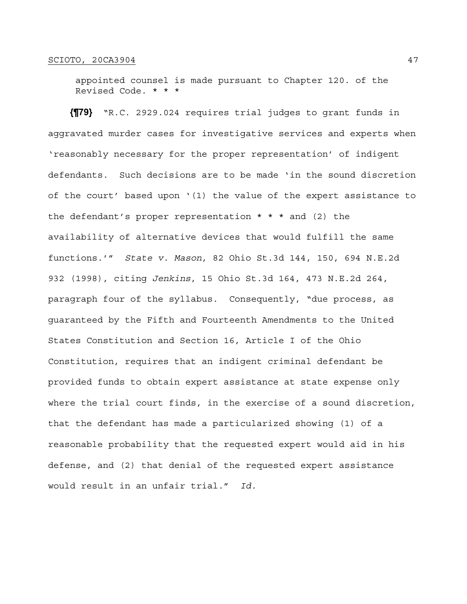appointed counsel is made pursuant to Chapter 120. of the Revised Code. \* \* \*

**{¶79}** "R.C. 2929.024 requires trial judges to grant funds in aggravated murder cases for investigative services and experts when 'reasonably necessary for the proper representation' of indigent defendants. Such decisions are to be made 'in the sound discretion of the court' based upon '(1) the value of the expert assistance to the defendant's proper representation  $* * *$  and (2) the availability of alternative devices that would fulfill the same functions.'" *State v. Mason*, 82 Ohio St.3d 144, 150, 694 N.E.2d 932 (1998), citing *Jenkins*, 15 Ohio St.3d 164, 473 N.E.2d 264, paragraph four of the syllabus. Consequently, "due process, as guaranteed by the Fifth and Fourteenth Amendments to the United States Constitution and Section 16, Article I of the Ohio Constitution, requires that an indigent criminal defendant be provided funds to obtain expert assistance at state expense only where the trial court finds, in the exercise of a sound discretion, that the defendant has made a particularized showing (1) of a reasonable probability that the requested expert would aid in his defense, and (2) that denial of the requested expert assistance would result in an unfair trial." *Id.*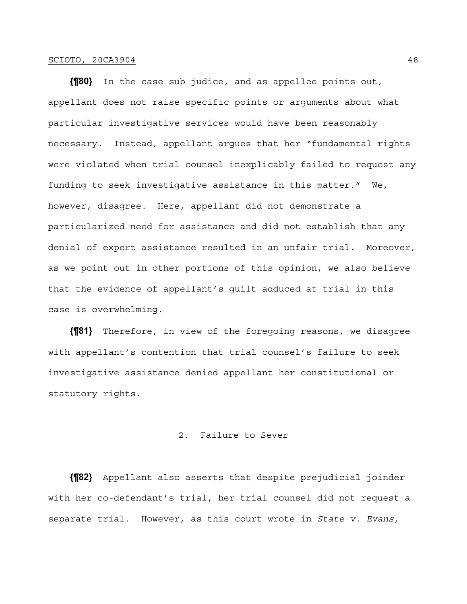**{¶80}** In the case sub judice, and as appellee points out, appellant does not raise specific points or arguments about what particular investigative services would have been reasonably necessary. Instead, appellant argues that her "fundamental rights were violated when trial counsel inexplicably failed to request any funding to seek investigative assistance in this matter." We, however, disagree. Here, appellant did not demonstrate a particularized need for assistance and did not establish that any denial of expert assistance resulted in an unfair trial. Moreover, as we point out in other portions of this opinion, we also believe that the evidence of appellant's guilt adduced at trial in this case is overwhelming.

**{¶81}** Therefore, in view of the foregoing reasons, we disagree with appellant's contention that trial counsel's failure to seek investigative assistance denied appellant her constitutional or statutory rights.

#### 2. Failure to Sever

**{¶82}** Appellant also asserts that despite prejudicial joinder with her co-defendant's trial, her trial counsel did not request a separate trial. However, as this court wrote in *State v. Evans,*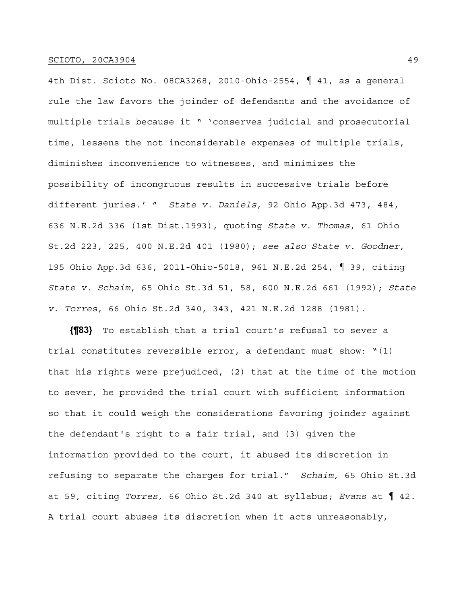4th Dist. Scioto No. 08CA3268, 2010-Ohio-2554, ¶ 41, as a general rule the law favors the joinder of defendants and the avoidance of multiple trials because it " 'conserves judicial and prosecutorial time, lessens the not inconsiderable expenses of multiple trials, diminishes inconvenience to witnesses, and minimizes the possibility of incongruous results in successive trials before different juries.' " *State v. Daniels*, 92 Ohio App.3d 473, 484, 636 N.E.2d 336 (1st Dist.1993), quoting *State v. Thomas*, 61 Ohio St.2d 223, 225, 400 N.E.2d 401 (1980); *see also State v. Goodner,* 195 Ohio App.3d 636, 2011-Ohio-5018, 961 N.E.2d 254, ¶ 39, citing *State v. Schaim*, 65 Ohio St.3d 51, 58, 600 N.E.2d 661 (1992); *State v. Torres*, 66 Ohio St.2d 340, 343, 421 N.E.2d 1288 (1981).

**{¶83}** To establish that a trial court's refusal to sever a trial constitutes reversible error, a defendant must show: "(1) that his rights were prejudiced, (2) that at the time of the motion to sever, he provided the trial court with sufficient information so that it could weigh the considerations favoring joinder against the defendant's right to a fair trial, and (3) given the information provided to the court, it abused its discretion in refusing to separate the charges for trial." *Schaim,* 65 Ohio St.3d at 59, citing *Torres,* 66 Ohio St.2d 340 at syllabus; *Evans* at ¶ 42. A trial court abuses its discretion when it acts unreasonably,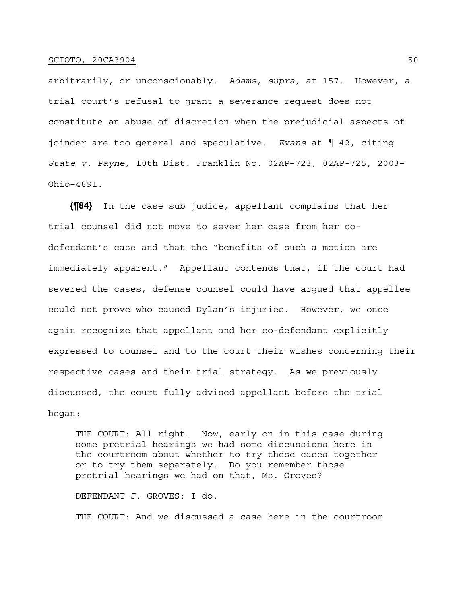arbitrarily, or unconscionably. *Adams, supra,* at 157.However, a trial court's refusal to grant a severance request does not constitute an abuse of discretion when the prejudicial aspects of joinder are too general and speculative. *Evans* at ¶ 42, citing *State v. Payne*, 10th Dist. Franklin No. 02AP–723, 02AP-725, 2003– Ohio–4891.

**{¶84}** In the case sub judice, appellant complains that her trial counsel did not move to sever her case from her codefendant's case and that the "benefits of such a motion are immediately apparent." Appellant contends that, if the court had severed the cases, defense counsel could have argued that appellee could not prove who caused Dylan's injuries. However, we once again recognize that appellant and her co-defendant explicitly expressed to counsel and to the court their wishes concerning their respective cases and their trial strategy. As we previously discussed, the court fully advised appellant before the trial began:

THE COURT: All right. Now, early on in this case during some pretrial hearings we had some discussions here in the courtroom about whether to try these cases together or to try them separately. Do you remember those pretrial hearings we had on that, Ms. Groves?

DEFENDANT J. GROVES: I do.

THE COURT: And we discussed a case here in the courtroom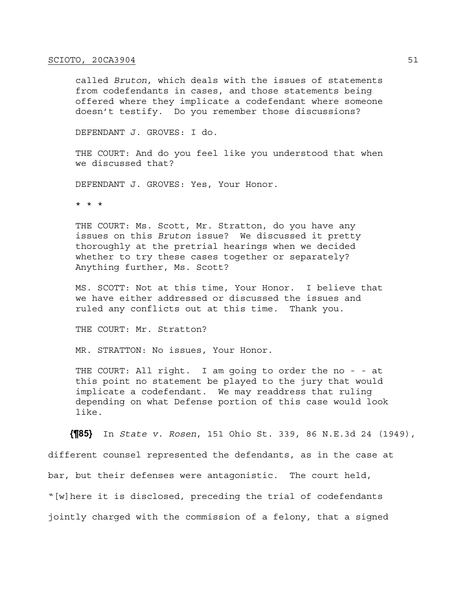called *Bruton*, which deals with the issues of statements from codefendants in cases, and those statements being offered where they implicate a codefendant where someone doesn't testify. Do you remember those discussions?

DEFENDANT J. GROVES: I do.

THE COURT: And do you feel like you understood that when we discussed that?

DEFENDANT J. GROVES: Yes, Your Honor.

\* \* \*

THE COURT: Ms. Scott, Mr. Stratton, do you have any issues on this *Bruton* issue? We discussed it pretty thoroughly at the pretrial hearings when we decided whether to try these cases together or separately? Anything further, Ms. Scott?

MS. SCOTT: Not at this time, Your Honor. I believe that we have either addressed or discussed the issues and ruled any conflicts out at this time. Thank you.

THE COURT: Mr. Stratton?

MR. STRATTON: No issues, Your Honor.

THE COURT: All right. I am going to order the no - - at this point no statement be played to the jury that would implicate a codefendant. We may readdress that ruling depending on what Defense portion of this case would look like.

**{¶85}** In *State v. Rosen*, 151 Ohio St. 339, 86 N.E.3d 24 (1949), different counsel represented the defendants, as in the case at bar, but their defenses were antagonistic. The court held, "[w]here it is disclosed, preceding the trial of codefendants jointly charged with the commission of a felony, that a signed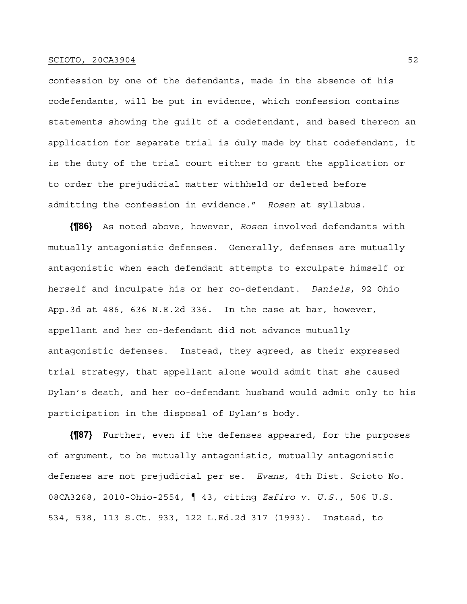confession by one of the defendants, made in the absence of his codefendants, will be put in evidence, which confession contains statements showing the guilt of a codefendant, and based thereon an application for separate trial is duly made by that codefendant, it is the duty of the trial court either to grant the application or to order the prejudicial matter withheld or deleted before admitting the confession in evidence." *Rosen* at syllabus.

**{¶86}** As noted above, however, *Rosen* involved defendants with mutually antagonistic defenses. Generally, defenses are mutually antagonistic when each defendant attempts to exculpate himself or herself and inculpate his or her co-defendant. *Daniels*, 92 Ohio App.3d at 486, 636 N.E.2d 336. In the case at bar, however, appellant and her co-defendant did not advance mutually antagonistic defenses. Instead, they agreed, as their expressed trial strategy, that appellant alone would admit that she caused Dylan's death, and her co-defendant husband would admit only to his participation in the disposal of Dylan's body.

**{¶87}** Further, even if the defenses appeared, for the purposes of argument, to be mutually antagonistic, mutually antagonistic defenses are not prejudicial per se. *Evans,* 4th Dist. Scioto No. 08CA3268, 2010-Ohio-2554, ¶ 43, citing *Zafiro v. U.S.*, 506 U.S. 534, 538, 113 S.Ct. 933, 122 L.Ed.2d 317 (1993). Instead, to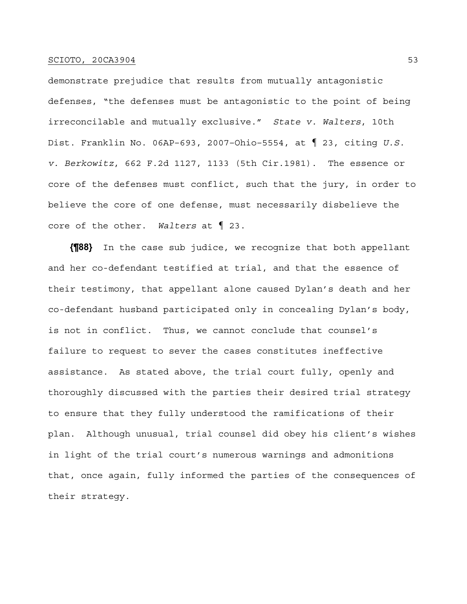demonstrate prejudice that results from mutually antagonistic defenses, "the defenses must be antagonistic to the point of being irreconcilable and mutually exclusive." *State v. Walters*, 10th Dist. Franklin No. 06AP–693, 2007–Ohio–5554, at ¶ 23, citing *U.S. v. Berkowitz*, 662 F.2d 1127, 1133 (5th Cir.1981). The essence or core of the defenses must conflict, such that the jury, in order to believe the core of one defense, must necessarily disbelieve the core of the other. *Walters* at ¶ 23.

**{¶88}** In the case sub judice, we recognize that both appellant and her co-defendant testified at trial, and that the essence of their testimony, that appellant alone caused Dylan's death and her co-defendant husband participated only in concealing Dylan's body, is not in conflict. Thus, we cannot conclude that counsel's failure to request to sever the cases constitutes ineffective assistance. As stated above, the trial court fully, openly and thoroughly discussed with the parties their desired trial strategy to ensure that they fully understood the ramifications of their plan. Although unusual, trial counsel did obey his client's wishes in light of the trial court's numerous warnings and admonitions that, once again, fully informed the parties of the consequences of their strategy.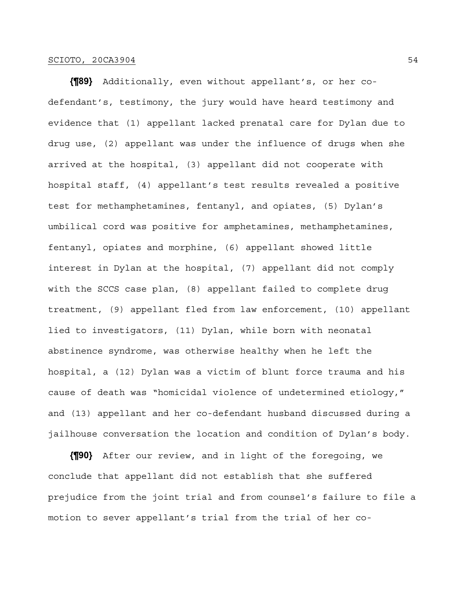**{¶89}** Additionally, even without appellant's, or her codefendant's, testimony, the jury would have heard testimony and evidence that (1) appellant lacked prenatal care for Dylan due to drug use, (2) appellant was under the influence of drugs when she arrived at the hospital, (3) appellant did not cooperate with hospital staff, (4) appellant's test results revealed a positive test for methamphetamines, fentanyl, and opiates, (5) Dylan's umbilical cord was positive for amphetamines, methamphetamines, fentanyl, opiates and morphine, (6) appellant showed little interest in Dylan at the hospital, (7) appellant did not comply with the SCCS case plan, (8) appellant failed to complete drug treatment, (9) appellant fled from law enforcement, (10) appellant lied to investigators, (11) Dylan, while born with neonatal abstinence syndrome, was otherwise healthy when he left the hospital, a (12) Dylan was a victim of blunt force trauma and his cause of death was "homicidal violence of undetermined etiology," and (13) appellant and her co-defendant husband discussed during a jailhouse conversation the location and condition of Dylan's body.

**{¶90}** After our review, and in light of the foregoing, we conclude that appellant did not establish that she suffered prejudice from the joint trial and from counsel's failure to file a motion to sever appellant's trial from the trial of her co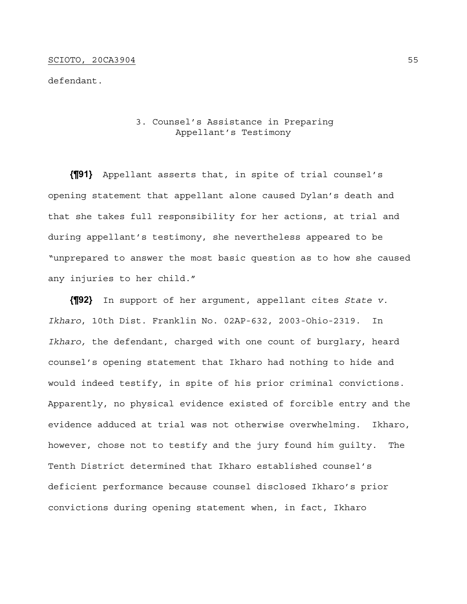defendant.

# 3. Counsel's Assistance in Preparing Appellant's Testimony

**{¶91}** Appellant asserts that, in spite of trial counsel's opening statement that appellant alone caused Dylan's death and that she takes full responsibility for her actions, at trial and during appellant's testimony, she nevertheless appeared to be "unprepared to answer the most basic question as to how she caused any injuries to her child."

**{¶92}** In support of her argument, appellant cites *State v. Ikharo*, 10th Dist. Franklin No. 02AP-632, 2003-Ohio-2319. In *Ikharo,* the defendant, charged with one count of burglary, heard counsel's opening statement that Ikharo had nothing to hide and would indeed testify, in spite of his prior criminal convictions. Apparently, no physical evidence existed of forcible entry and the evidence adduced at trial was not otherwise overwhelming. Ikharo, however, chose not to testify and the jury found him guilty. The Tenth District determined that Ikharo established counsel's deficient performance because counsel disclosed Ikharo's prior convictions during opening statement when, in fact, Ikharo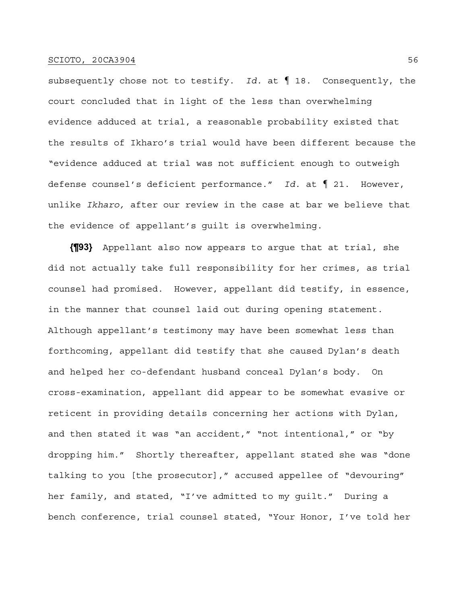subsequently chose not to testify. *Id.* at ¶ 18. Consequently, the court concluded that in light of the less than overwhelming evidence adduced at trial, a reasonable probability existed that the results of Ikharo's trial would have been different because the "evidence adduced at trial was not sufficient enough to outweigh defense counsel's deficient performance." *Id.* at ¶ 21. However, unlike *Ikharo,* after our review in the case at bar we believe that the evidence of appellant's guilt is overwhelming.

**{¶93}** Appellant also now appears to argue that at trial, she did not actually take full responsibility for her crimes, as trial counsel had promised. However, appellant did testify, in essence, in the manner that counsel laid out during opening statement. Although appellant's testimony may have been somewhat less than forthcoming, appellant did testify that she caused Dylan's death and helped her co-defendant husband conceal Dylan's body. On cross-examination, appellant did appear to be somewhat evasive or reticent in providing details concerning her actions with Dylan, and then stated it was "an accident," "not intentional," or "by dropping him." Shortly thereafter, appellant stated she was "done talking to you [the prosecutor]," accused appellee of "devouring" her family, and stated, "I've admitted to my guilt." During a bench conference, trial counsel stated, "Your Honor, I've told her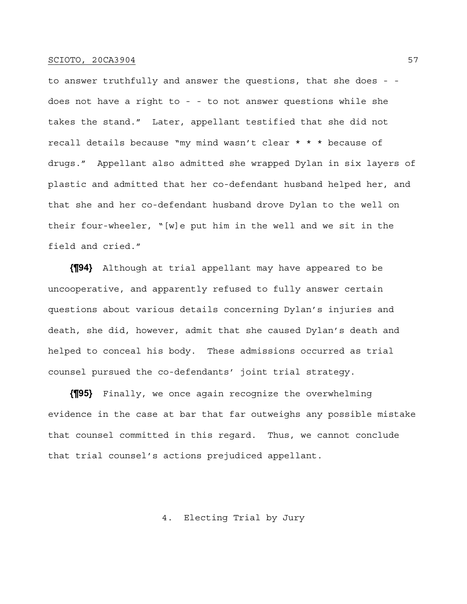to answer truthfully and answer the questions, that she does - does not have a right to - - to not answer questions while she takes the stand." Later, appellant testified that she did not recall details because "my mind wasn't clear \* \* \* because of drugs." Appellant also admitted she wrapped Dylan in six layers of plastic and admitted that her co-defendant husband helped her, and that she and her co-defendant husband drove Dylan to the well on their four-wheeler, "[w]e put him in the well and we sit in the field and cried."

**{¶94}** Although at trial appellant may have appeared to be uncooperative, and apparently refused to fully answer certain questions about various details concerning Dylan's injuries and death, she did, however, admit that she caused Dylan's death and helped to conceal his body. These admissions occurred as trial counsel pursued the co-defendants' joint trial strategy.

**{¶95}** Finally, we once again recognize the overwhelming evidence in the case at bar that far outweighs any possible mistake that counsel committed in this regard. Thus, we cannot conclude that trial counsel's actions prejudiced appellant.

4. Electing Trial by Jury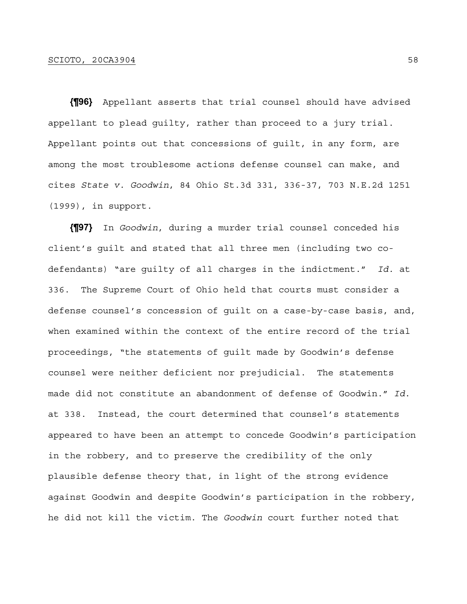**{¶96}** Appellant asserts that trial counsel should have advised appellant to plead guilty, rather than proceed to a jury trial. Appellant points out that concessions of guilt, in any form, are among the most troublesome actions defense counsel can make, and cites *State v. Goodwin*, 84 Ohio St.3d 331, 336-37, 703 N.E.2d 1251 (1999), in support.

**{¶97}** In *Goodwin*, during a murder trial counsel conceded his client's guilt and stated that all three men (including two codefendants) "are guilty of all charges in the indictment." *Id.* at 336. The Supreme Court of Ohio held that courts must consider a defense counsel's concession of guilt on a case-by-case basis, and, when examined within the context of the entire record of the trial proceedings, "the statements of guilt made by Goodwin's defense counsel were neither deficient nor prejudicial. The statements made did not constitute an abandonment of defense of Goodwin." *Id*. at 338. Instead, the court determined that counsel's statements appeared to have been an attempt to concede Goodwin's participation in the robbery, and to preserve the credibility of the only plausible defense theory that, in light of the strong evidence against Goodwin and despite Goodwin's participation in the robbery, he did not kill the victim. The *Goodwin* court further noted that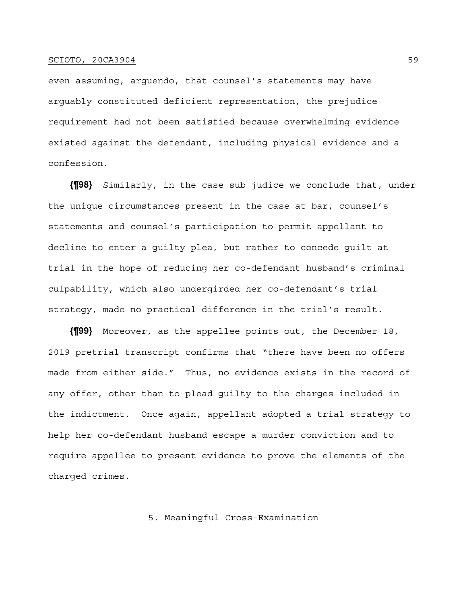even assuming, arguendo, that counsel's statements may have arguably constituted deficient representation, the prejudice requirement had not been satisfied because overwhelming evidence existed against the defendant, including physical evidence and a confession.

**{¶98}** Similarly, in the case sub judice we conclude that, under the unique circumstances present in the case at bar, counsel's statements and counsel's participation to permit appellant to decline to enter a guilty plea, but rather to concede guilt at trial in the hope of reducing her co-defendant husband's criminal culpability, which also undergirded her co-defendant's trial strategy, made no practical difference in the trial's result.

**{¶99}** Moreover, as the appellee points out, the December 18, 2019 pretrial transcript confirms that "there have been no offers made from either side." Thus, no evidence exists in the record of any offer, other than to plead guilty to the charges included in the indictment. Once again, appellant adopted a trial strategy to help her co-defendant husband escape a murder conviction and to require appellee to present evidence to prove the elements of the charged crimes.

5. Meaningful Cross-Examination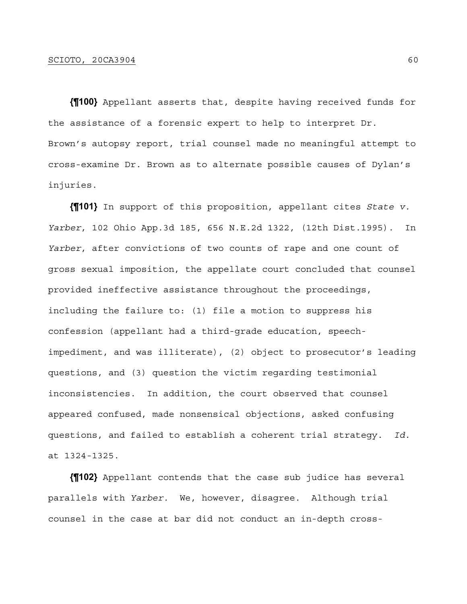**{¶100}** Appellant asserts that, despite having received funds for the assistance of a forensic expert to help to interpret Dr. Brown's autopsy report, trial counsel made no meaningful attempt to cross-examine Dr. Brown as to alternate possible causes of Dylan's injuries.

**{¶101}** In support of this proposition, appellant cites *State v. Yarber*, 102 Ohio App.3d 185, 656 N.E.2d 1322, (12th Dist.1995). In *Yarber*, after convictions of two counts of rape and one count of gross sexual imposition, the appellate court concluded that counsel provided ineffective assistance throughout the proceedings, including the failure to: (1) file a motion to suppress his confession (appellant had a third-grade education, speechimpediment, and was illiterate), (2) object to prosecutor's leading questions, and (3) question the victim regarding testimonial inconsistencies. In addition, the court observed that counsel appeared confused, made nonsensical objections, asked confusing questions, and failed to establish a coherent trial strategy. *Id.* at 1324-1325.

**{¶102}** Appellant contends that the case sub judice has several parallels with *Yarber.* We, however, disagree. Although trial counsel in the case at bar did not conduct an in-depth cross-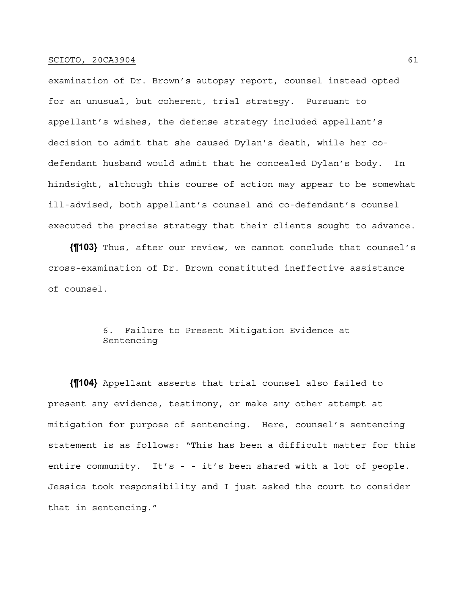examination of Dr. Brown's autopsy report, counsel instead opted for an unusual, but coherent, trial strategy. Pursuant to appellant's wishes, the defense strategy included appellant's decision to admit that she caused Dylan's death, while her codefendant husband would admit that he concealed Dylan's body. In hindsight, although this course of action may appear to be somewhat ill-advised, both appellant's counsel and co-defendant's counsel executed the precise strategy that their clients sought to advance.

**{¶103}** Thus, after our review, we cannot conclude that counsel's cross-examination of Dr. Brown constituted ineffective assistance of counsel.

# 6. Failure to Present Mitigation Evidence at Sentencing

**{¶104}** Appellant asserts that trial counsel also failed to present any evidence, testimony, or make any other attempt at mitigation for purpose of sentencing. Here, counsel's sentencing statement is as follows: "This has been a difficult matter for this entire community. It's - - it's been shared with a lot of people. Jessica took responsibility and I just asked the court to consider that in sentencing."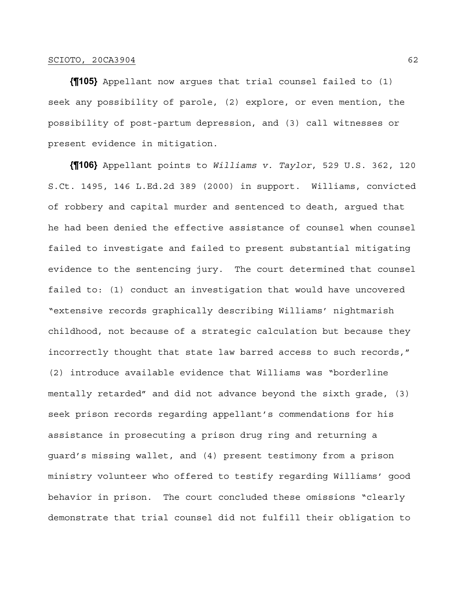**{¶105}** Appellant now argues that trial counsel failed to (1) seek any possibility of parole, (2) explore, or even mention, the possibility of post-partum depression, and (3) call witnesses or present evidence in mitigation.

**{¶106}** Appellant points to *Williams v. Taylor*, 529 U.S. 362, 120 S.Ct. 1495, 146 L.Ed.2d 389 (2000) in support. Williams, convicted of robbery and capital murder and sentenced to death, argued that he had been denied the effective assistance of counsel when counsel failed to investigate and failed to present substantial mitigating evidence to the sentencing jury. The court determined that counsel failed to: (1) conduct an investigation that would have uncovered "extensive records graphically describing Williams' nightmarish childhood, not because of a strategic calculation but because they incorrectly thought that state law barred access to such records," (2) introduce available evidence that Williams was "borderline mentally retarded" and did not advance beyond the sixth grade, (3) seek prison records regarding appellant's commendations for his assistance in prosecuting a prison drug ring and returning a guard's missing wallet, and (4) present testimony from a prison ministry volunteer who offered to testify regarding Williams' good behavior in prison. The court concluded these omissions "clearly demonstrate that trial counsel did not fulfill their obligation to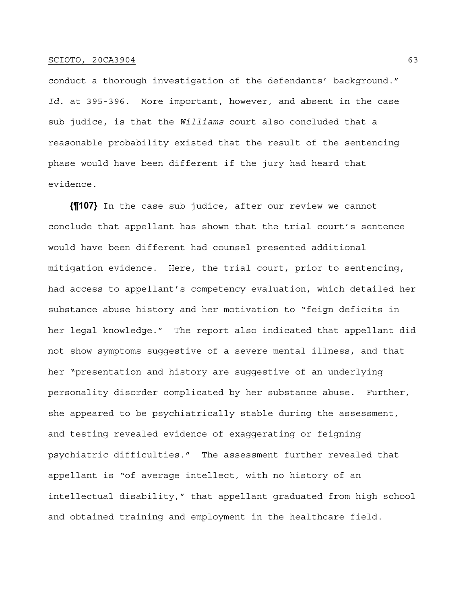conduct a thorough investigation of the defendants' background." *Id.* at 395-396. More important, however, and absent in the case sub judice, is that the *Williams* court also concluded that a reasonable probability existed that the result of the sentencing phase would have been different if the jury had heard that evidence.

**{¶107}** In the case sub judice, after our review we cannot conclude that appellant has shown that the trial court's sentence would have been different had counsel presented additional mitigation evidence. Here, the trial court, prior to sentencing, had access to appellant's competency evaluation, which detailed her substance abuse history and her motivation to "feign deficits in her legal knowledge." The report also indicated that appellant did not show symptoms suggestive of a severe mental illness, and that her "presentation and history are suggestive of an underlying personality disorder complicated by her substance abuse. Further, she appeared to be psychiatrically stable during the assessment, and testing revealed evidence of exaggerating or feigning psychiatric difficulties." The assessment further revealed that appellant is "of average intellect, with no history of an intellectual disability," that appellant graduated from high school and obtained training and employment in the healthcare field.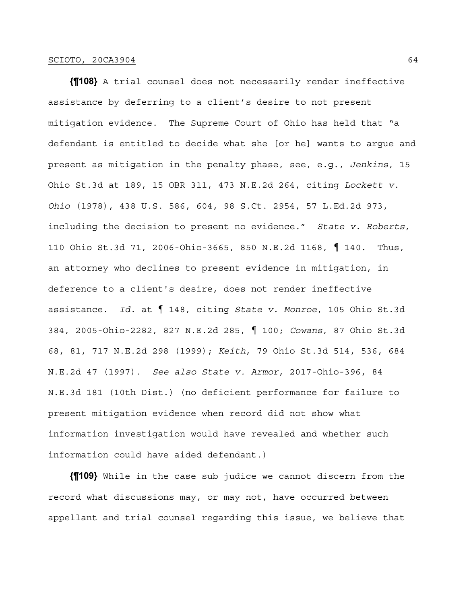**{¶108}** A trial counsel does not necessarily render ineffective assistance by deferring to a client's desire to not present mitigation evidence. The Supreme Court of Ohio has held that "a defendant is entitled to decide what she [or he] wants to argue and present as mitigation in the penalty phase, see, e.g., *Jenkins*, 15 Ohio St.3d at 189, 15 OBR 311, 473 N.E.2d 264, citing *Lockett v. Ohio* (1978), 438 U.S. 586, 604, 98 S.Ct. 2954, 57 L.Ed.2d 973, including the decision to present no evidence." *State v. Roberts*, 110 Ohio St.3d 71, 2006-Ohio-3665, 850 N.E.2d 1168, ¶ 140. Thus, an attorney who declines to present evidence in mitigation, in deference to a client's desire, does not render ineffective assistance. *Id.* at ¶ 148, citing *State v. Monroe*, 105 Ohio St.3d 384, 2005-Ohio-2282, 827 N.E.2d 285, ¶ 100; *Cowans*, 87 Ohio St.3d 68, 81, 717 N.E.2d 298 (1999); *Keith*, 79 Ohio St.3d 514, 536, 684 N.E.2d 47 (1997). *See also State v. Armor*, 2017-Ohio-396, 84 N.E.3d 181 (10th Dist.) (no deficient performance for failure to present mitigation evidence when record did not show what information investigation would have revealed and whether such information could have aided defendant.)

**{¶109}** While in the case sub judice we cannot discern from the record what discussions may, or may not, have occurred between appellant and trial counsel regarding this issue, we believe that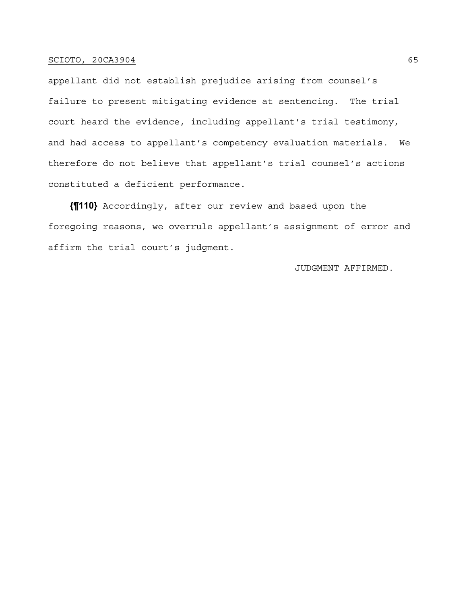appellant did not establish prejudice arising from counsel's failure to present mitigating evidence at sentencing. The trial court heard the evidence, including appellant's trial testimony, and had access to appellant's competency evaluation materials. We therefore do not believe that appellant's trial counsel's actions constituted a deficient performance.

**{¶110}** Accordingly, after our review and based upon the foregoing reasons, we overrule appellant's assignment of error and affirm the trial court's judgment.

JUDGMENT AFFIRMED.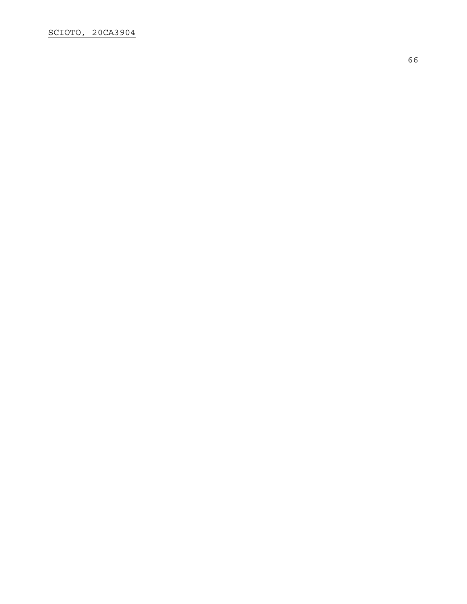# SCIOTO, 20CA3904

66